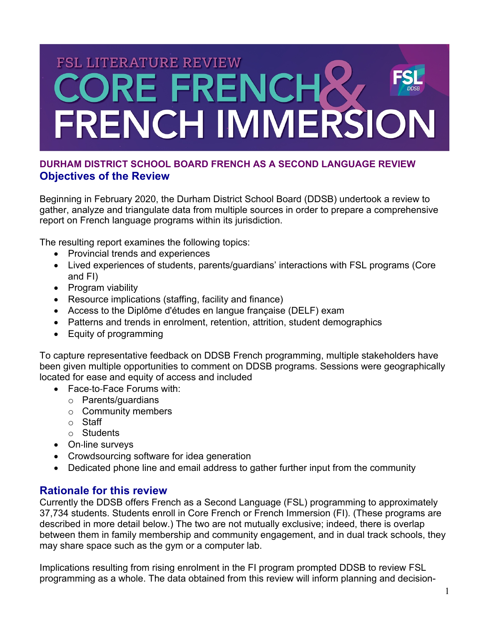# **FSL LITERATURE REVIEW ORE FRENCHA** FRENCH IMMERSION

# **DURHAM DISTRICT SCHOOL BOARD FRENCH AS A SECOND LANGUAGE REVIEW Objectives of the Review**

Beginning in February 2020, the Durham District School Board (DDSB) undertook a review to gather, analyze and triangulate data from multiple sources in order to prepare a comprehensive report on French language programs within its jurisdiction.

The resulting report examines the following topics:

- Provincial trends and experiences
- Lived experiences of students, parents/guardians' interactions with FSL programs (Core and FI)
- Program viability
- Resource implications (staffing, facility and finance)
- Access to the Diplôme d'études en langue française (DELF) exam
- Patterns and trends in enrolment, retention, attrition, student demographics
- Equity of programming

To capture representative feedback on DDSB French programming, multiple stakeholders have been given multiple opportunities to comment on DDSB programs. Sessions were geographically located for ease and equity of access and included

- Face-to-Face Forums with:
	- o Parents/guardians
	- o Community members
	- o Staff
	- o Students
- On-line surveys
- Crowdsourcing software for idea generation
- Dedicated phone line and email address to gather further input from the community

# **Rationale for this review**

Currently the DDSB offers French as a Second Language (FSL) programming to approximately 37,734 students. Students enroll in Core French or French Immersion (FI). (These programs are described in more detail below.) The two are not mutually exclusive; indeed, there is overlap between them in family membership and community engagement, and in dual track schools, they may share space such as the gym or a computer lab.

Implications resulting from rising enrolment in the FI program prompted DDSB to review FSL programming as a whole. The data obtained from this review will inform planning and decision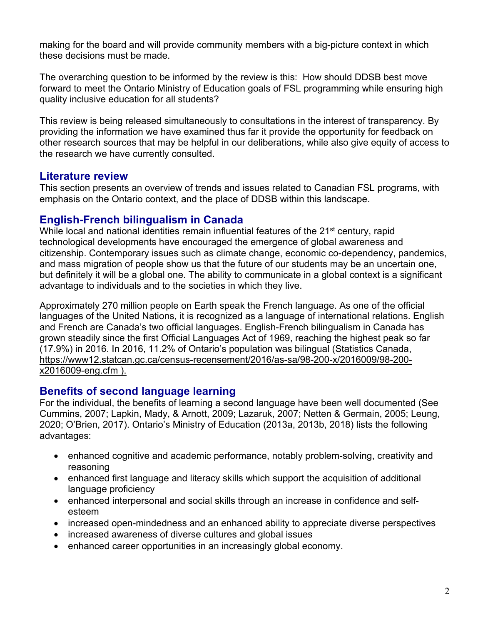making for the board and will provide community members with a big-picture context in which these decisions must be made.

The overarching question to be informed by the review is this: How should DDSB best move forward to meet the Ontario Ministry of Education goals of FSL programming while ensuring high quality inclusive education for all students?

This review is being released simultaneously to consultations in the interest of transparency. By providing the information we have examined thus far it provide the opportunity for feedback on other research sources that may be helpful in our deliberations, while also give equity of access to the research we have currently consulted.

# **Literature review**

This section presents an overview of trends and issues related to Canadian FSL programs, with emphasis on the Ontario context, and the place of DDSB within this landscape.

# **English-French bilingualism in Canada**

While local and national identities remain influential features of the 21<sup>st</sup> century, rapid technological developments have encouraged the emergence of global awareness and citizenship. Contemporary issues such as climate change, economic co-dependency, pandemics, and mass migration of people show us that the future of our students may be an uncertain one, but definitely it will be a global one. The ability to communicate in a global context is a significant advantage to individuals and to the societies in which they live.

Approximately 270 million people on Earth speak the French language. As one of the official languages of the United Nations, it is recognized as a language of international relations. English and French are Canada's two official languages. English-French bilingualism in Canada has grown steadily since the first Official Languages Act of 1969, reaching the highest peak so far (17.9%) in 2016. In 2016, 11.2% of Ontario's population was bilingual (Statistics Canada, https://www12.statcan.gc.ca/census-recensement/2016/as-sa/98-200-x/2016009/98-200 x2016009-eng.cfm ).

# **Benefits of second language learning**

For the individual, the benefits of learning a second language have been well documented (See Cummins, 2007; Lapkin, Mady, & Arnott, 2009; Lazaruk, 2007; Netten & Germain, 2005; Leung, 2020; O'Brien, 2017). Ontario's Ministry of Education (2013a, 2013b, 2018) lists the following advantages:

- enhanced cognitive and academic performance, notably problem-solving, creativity and reasoning
- enhanced first language and literacy skills which support the acquisition of additional language proficiency
- enhanced interpersonal and social skills through an increase in confidence and selfesteem
- increased open-mindedness and an enhanced ability to appreciate diverse perspectives
- increased awareness of diverse cultures and global issues
- enhanced career opportunities in an increasingly global economy.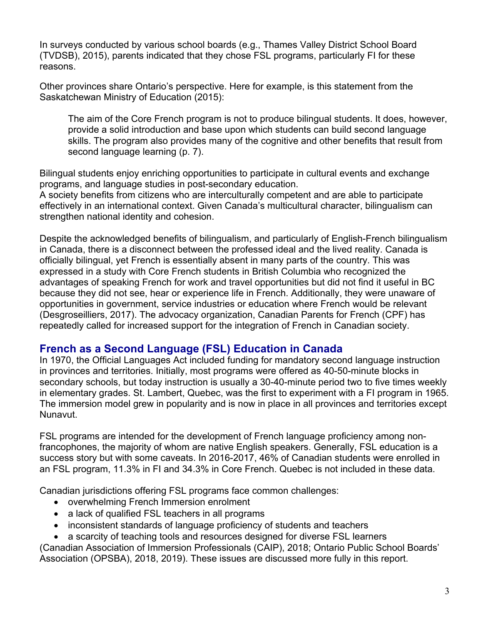In surveys conducted by various school boards (e.g., Thames Valley District School Board (TVDSB), 2015), parents indicated that they chose FSL programs, particularly FI for these reasons.

Other provinces share Ontario's perspective. Here for example, is this statement from the Saskatchewan Ministry of Education (2015):

The aim of the Core French program is not to produce bilingual students. It does, however, provide a solid introduction and base upon which students can build second language skills. The program also provides many of the cognitive and other benefits that result from second language learning (p. 7).

Bilingual students enjoy enriching opportunities to participate in cultural events and exchange programs, and language studies in post-secondary education.

A society benefits from citizens who are interculturally competent and are able to participate effectively in an international context. Given Canada's multicultural character, bilingualism can strengthen national identity and cohesion.

Despite the acknowledged benefits of bilingualism, and particularly of English-French bilingualism in Canada, there is a disconnect between the professed ideal and the lived reality. Canada is officially bilingual, yet French is essentially absent in many parts of the country. This was expressed in a study with Core French students in British Columbia who recognized the advantages of speaking French for work and travel opportunities but did not find it useful in BC because they did not see, hear or experience life in French. Additionally, they were unaware of opportunities in government, service industries or education where French would be relevant (Desgroseilliers, 2017). The advocacy organization, Canadian Parents for French (CPF) has repeatedly called for increased support for the integration of French in Canadian society.

# **French as a Second Language (FSL) Education in Canada**

In 1970, the Official Languages Act included funding for mandatory second language instruction in provinces and territories. Initially, most programs were offered as 40-50-minute blocks in secondary schools, but today instruction is usually a 30-40-minute period two to five times weekly in elementary grades. St. Lambert, Quebec, was the first to experiment with a FI program in 1965. The immersion model grew in popularity and is now in place in all provinces and territories except Nunavut.

FSL programs are intended for the development of French language proficiency among nonfrancophones, the majority of whom are native English speakers. Generally, FSL education is a success story but with some caveats. In 2016-2017, 46% of Canadian students were enrolled in an FSL program, 11.3% in FI and 34.3% in Core French. Quebec is not included in these data.

Canadian jurisdictions offering FSL programs face common challenges:

- overwhelming French Immersion enrolment
- a lack of qualified FSL teachers in all programs
- inconsistent standards of language proficiency of students and teachers

• a scarcity of teaching tools and resources designed for diverse FSL learners

(Canadian Association of Immersion Professionals (CAIP), 2018; Ontario Public School Boards' Association (OPSBA), 2018, 2019). These issues are discussed more fully in this report.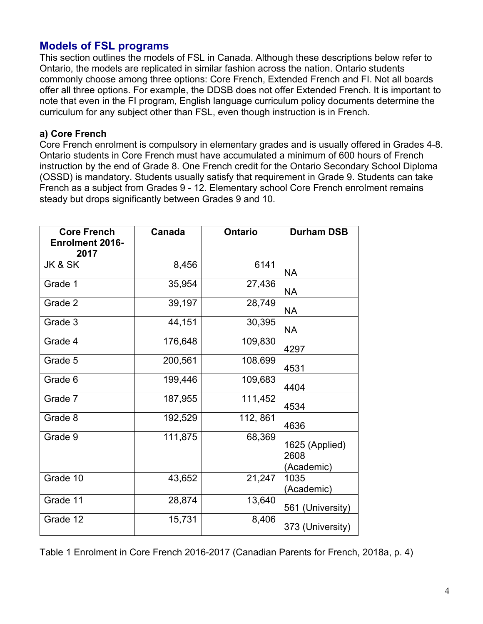# **Models of FSL programs**

This section outlines the models of FSL in Canada. Although these descriptions below refer to Ontario, the models are replicated in similar fashion across the nation. Ontario students commonly choose among three options: Core French, Extended French and FI. Not all boards offer all three options. For example, the DDSB does not offer Extended French. It is important to note that even in the FI program, English language curriculum policy documents determine the curriculum for any subject other than FSL, even though instruction is in French.

#### **a) Core French**

Core French enrolment is compulsory in elementary grades and is usually offered in Grades 4-8. Ontario students in Core French must have accumulated a minimum of 600 hours of French instruction by the end of Grade 8. One French credit for the Ontario Secondary School Diploma (OSSD) is mandatory. Students usually satisfy that requirement in Grade 9. Students can take French as a subject from Grades 9 - 12. Elementary school Core French enrolment remains steady but drops significantly between Grades 9 and 10.

| <b>Core French</b><br><b>Enrolment 2016-</b><br>2017 | <b>Canada</b> | <b>Ontario</b> | <b>Durham DSB</b>                    |
|------------------------------------------------------|---------------|----------------|--------------------------------------|
| JK & SK                                              | 8,456         | 6141           | <b>NA</b>                            |
| Grade 1                                              | 35,954        | 27,436         | <b>NA</b>                            |
| Grade 2                                              | 39,197        | 28,749         | <b>NA</b>                            |
| Grade 3                                              | 44,151        | 30,395         | <b>NA</b>                            |
| Grade 4                                              | 176,648       | 109,830        | 4297                                 |
| Grade 5                                              | 200,561       | 108.699        | 4531                                 |
| Grade 6                                              | 199,446       | 109,683        | 4404                                 |
| Grade 7                                              | 187,955       | 111,452        | 4534                                 |
| Grade 8                                              | 192,529       | 112, 861       | 4636                                 |
| Grade 9                                              | 111,875       | 68,369         | 1625 (Applied)<br>2608<br>(Academic) |
| Grade 10                                             | 43,652        | 21,247         | 1035<br>(Academic)                   |
| Grade 11                                             | 28,874        | 13,640         | 561 (University)                     |
| Grade 12                                             | 15,731        | 8,406          | 373 (University)                     |

Table 1 Enrolment in Core French 2016-2017 (Canadian Parents for French, 2018a, p. 4)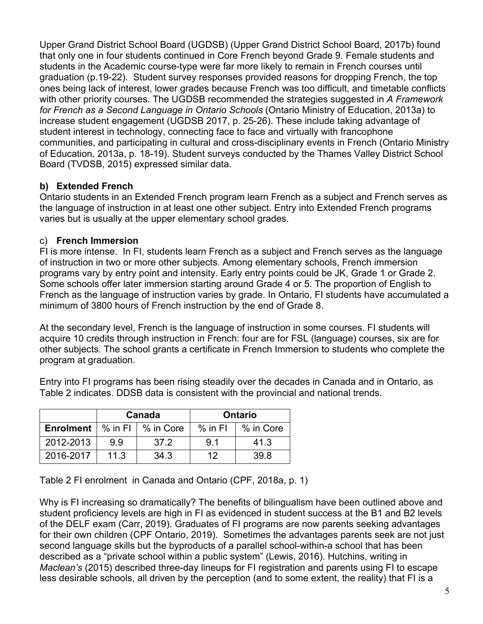Upper Grand District School Board (UGDSB) (Upper Grand District School Board, 2017b) found that only one in four students continued in Core French beyond Grade 9. Female students and students in the Academic course-type were far more likely to remain in French courses until graduation (p.19-22). Student survey responses provided reasons for dropping French, the top ones being lack of interest, lower grades because French was too difficult, and timetable conflicts with other priority courses. The UGDSB recommended the strategies suggested in *A Framework for French as a Second Language in Ontario Schools* (Ontario Ministry of Education, 2013a) to increase student engagement (UGDSB 2017, p. 25-26). These include taking advantage of student interest in technology, connecting face to face and virtually with francophone communities, and participating in cultural and cross-disciplinary events in French (Ontario Ministry of Education, 2013a, p. 18-19). Student surveys conducted by the Thames Valley District School Board (TVDSB, 2015) expressed similar data.

#### **b) Extended French**

Ontario students in an Extended French program learn French as a subject and French serves as the language of instruction in at least one other subject. Entry into Extended French programs varies but is usually at the upper elementary school grades.

#### c) **French Immersion**

FI is more intense. In FI, students learn French as a subject and French serves as the language of instruction in two or more other subjects. Among elementary schools, French immersion programs vary by entry point and intensity. Early entry points could be JK, Grade 1 or Grade 2. Some schools offer later immersion starting around Grade 4 or 5. The proportion of English to French as the language of instruction varies by grade. In Ontario, FI students have accumulated a minimum of 3800 hours of French instruction by the end of Grade 8.

At the secondary level, French is the language of instruction in some courses. FI students will acquire 10 credits through instruction in French: four are for FSL (language) courses, six are for other subjects. The school grants a certificate in French Immersion to students who complete the program at graduation.

Entry into FI programs has been rising steadily over the decades in Canada and in Ontario, as Table 2 indicates. DDSB data is consistent with the provincial and national trends.

|                                                  | Canada |      |           | <b>Ontario</b> |
|--------------------------------------------------|--------|------|-----------|----------------|
| <b>Enrolment</b> $\mid$ % in FI $\mid$ % in Core |        |      | $%$ in FI | % in Core      |
| 2012-2013                                        | 99     | 37.2 | 9.1       | 41.3           |
| 2016-2017                                        | 11.3   | 34.3 | 12        | 39.8           |

Table 2 FI enrolment in Canada and Ontario (CPF, 2018a, p. 1)

Why is FI increasing so dramatically? The benefits of bilingualism have been outlined above and student proficiency levels are high in FI as evidenced in student success at the B1 and B2 levels of the DELF exam (Carr, 2019). Graduates of FI programs are now parents seeking advantages for their own children (CPF Ontario, 2019). Sometimes the advantages parents seek are not just second language skills but the byproducts of a parallel school-within-a school that has been described as a "private school within a public system" (Lewis, 2016). Hutchins, writing in *Maclean's* (2015) described three-day lineups for FI registration and parents using FI to escape less desirable schools, all driven by the perception (and to some extent, the reality) that FI is a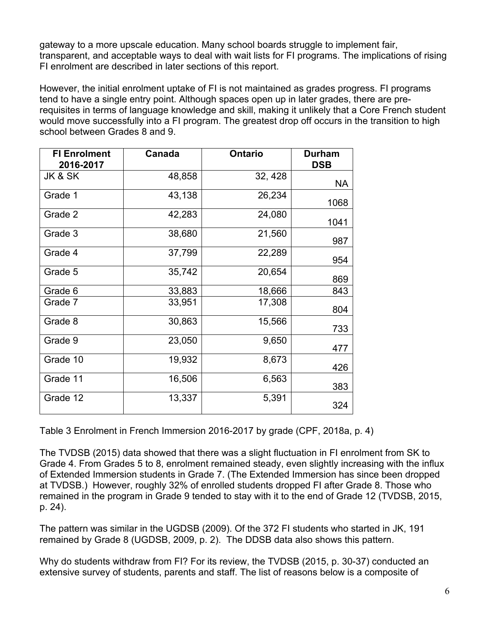gateway to a more upscale education. Many school boards struggle to implement fair, transparent, and acceptable ways to deal with wait lists for FI programs. The implications of rising FI enrolment are described in later sections of this report.

However, the initial enrolment uptake of FI is not maintained as grades progress. FI programs tend to have a single entry point. Although spaces open up in later grades, there are prerequisites in terms of language knowledge and skill, making it unlikely that a Core French student would move successfully into a FI program. The greatest drop off occurs in the transition to high school between Grades 8 and 9.

| <b>FI Enrolment</b><br>2016-2017 | Canada | <b>Ontario</b> | <b>Durham</b><br><b>DSB</b> |
|----------------------------------|--------|----------------|-----------------------------|
| JK & SK                          | 48,858 | 32, 428        | NA                          |
| Grade 1                          | 43,138 | 26,234         | 1068                        |
| Grade 2                          | 42,283 | 24,080         | 1041                        |
| Grade 3                          | 38,680 | 21,560         | 987                         |
| Grade 4                          | 37,799 | 22,289         | 954                         |
| Grade 5                          | 35,742 | 20,654         | 869                         |
| Grade 6                          | 33,883 | 18,666         | 843                         |
| Grade 7                          | 33,951 | 17,308         | 804                         |
| Grade 8                          | 30,863 | 15,566         | 733                         |
| Grade 9                          | 23,050 | 9,650          | 477                         |
| Grade 10                         | 19,932 | 8,673          | 426                         |
| Grade 11                         | 16,506 | 6,563          | 383                         |
| Grade 12                         | 13,337 | 5,391          | 324                         |

Table 3 Enrolment in French Immersion 2016-2017 by grade (CPF, 2018a, p. 4)

The TVDSB (2015) data showed that there was a slight fluctuation in FI enrolment from SK to Grade 4. From Grades 5 to 8, enrolment remained steady, even slightly increasing with the influx of Extended Immersion students in Grade 7. (The Extended Immersion has since been dropped at TVDSB.) However, roughly 32% of enrolled students dropped FI after Grade 8. Those who remained in the program in Grade 9 tended to stay with it to the end of Grade 12 (TVDSB, 2015, p. 24).

The pattern was similar in the UGDSB (2009). Of the 372 FI students who started in JK, 191 remained by Grade 8 (UGDSB, 2009, p. 2). The DDSB data also shows this pattern.

Why do students withdraw from FI? For its review, the TVDSB (2015, p. 30-37) conducted an extensive survey of students, parents and staff. The list of reasons below is a composite of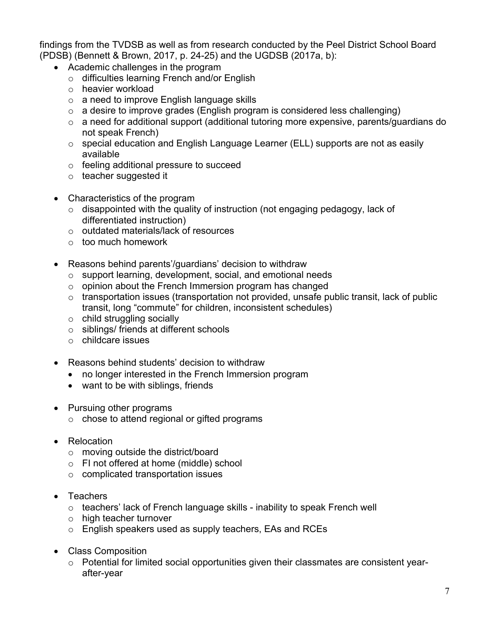findings from the TVDSB as well as from research conducted by the Peel District School Board (PDSB) (Bennett & Brown, 2017, p. 24-25) and the UGDSB (2017a, b):

- Academic challenges in the program
	- o difficulties learning French and/or English
	- o heavier workload
	- o a need to improve English language skills
	- $\circ$  a desire to improve grades (English program is considered less challenging)
	- o a need for additional support (additional tutoring more expensive, parents/guardians do not speak French)
	- o special education and English Language Learner (ELL) supports are not as easily available
	- o feeling additional pressure to succeed
	- o teacher suggested it
- Characteristics of the program
	- $\circ$  disappointed with the quality of instruction (not engaging pedagogy, lack of differentiated instruction)
	- o outdated materials/lack of resources
	- o too much homework
- Reasons behind parents'/guardians' decision to withdraw
	- o support learning, development, social, and emotional needs
	- o opinion about the French Immersion program has changed
	- $\circ$  transportation issues (transportation not provided, unsafe public transit, lack of public transit, long "commute" for children, inconsistent schedules)
	- o child struggling socially
	- o siblings/ friends at different schools
	- o childcare issues
- Reasons behind students' decision to withdraw
	- no longer interested in the French Immersion program
	- want to be with siblings, friends
- Pursuing other programs
	- o chose to attend regional or gifted programs
- Relocation
	- o moving outside the district/board
	- o FI not offered at home (middle) school
	- o complicated transportation issues
- Teachers
	- o teachers' lack of French language skills inability to speak French well
	- o high teacher turnover
	- o English speakers used as supply teachers, EAs and RCEs
- Class Composition
	- o Potential for limited social opportunities given their classmates are consistent yearafter-year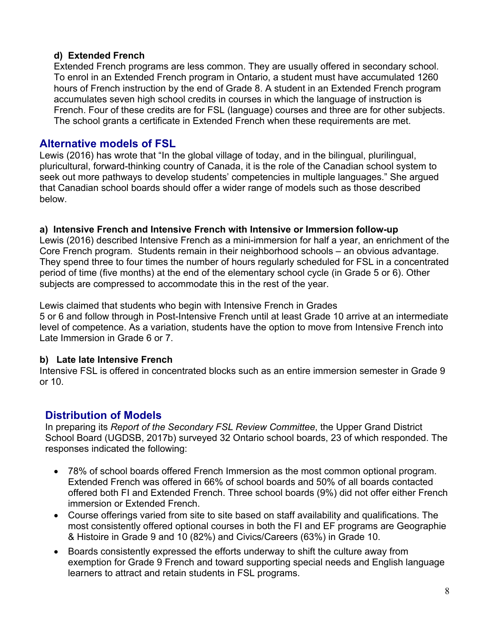#### **d) Extended French**

Extended French programs are less common. They are usually offered in secondary school. To enrol in an Extended French program in Ontario, a student must have accumulated 1260 hours of French instruction by the end of Grade 8. A student in an Extended French program accumulates seven high school credits in courses in which the language of instruction is French. Four of these credits are for FSL (language) courses and three are for other subjects. The school grants a certificate in Extended French when these requirements are met.

#### **Alternative models of FSL**

Lewis (2016) has wrote that "In the global village of today, and in the bilingual, plurilingual, pluricultural, forward-thinking country of Canada, it is the role of the Canadian school system to seek out more pathways to develop students' competencies in multiple languages." She argued that Canadian school boards should offer a wider range of models such as those described below.

#### **a) Intensive French and Intensive French with Intensive or Immersion follow-up**

Lewis (2016) described Intensive French as a mini-immersion for half a year, an enrichment of the Core French program. Students remain in their neighborhood schools – an obvious advantage. They spend three to four times the number of hours regularly scheduled for FSL in a concentrated period of time (five months) at the end of the elementary school cycle (in Grade 5 or 6). Other subjects are compressed to accommodate this in the rest of the year.

Lewis claimed that students who begin with Intensive French in Grades 5 or 6 and follow through in Post-Intensive French until at least Grade 10 arrive at an intermediate level of competence. As a variation, students have the option to move from Intensive French into Late Immersion in Grade 6 or 7.

#### **b) Late late Intensive French**

Intensive FSL is offered in concentrated blocks such as an entire immersion semester in Grade 9 or 10.

# **Distribution of Models**

In preparing its *Report of the Secondary FSL Review Committee*, the Upper Grand District School Board (UGDSB, 2017b) surveyed 32 Ontario school boards, 23 of which responded. The responses indicated the following:

- 78% of school boards offered French Immersion as the most common optional program. Extended French was offered in 66% of school boards and 50% of all boards contacted offered both FI and Extended French. Three school boards (9%) did not offer either French immersion or Extended French.
- Course offerings varied from site to site based on staff availability and qualifications. The most consistently offered optional courses in both the FI and EF programs are Geographie & Histoire in Grade 9 and 10 (82%) and Civics/Careers (63%) in Grade 10.
- Boards consistently expressed the efforts underway to shift the culture away from exemption for Grade 9 French and toward supporting special needs and English language learners to attract and retain students in FSL programs.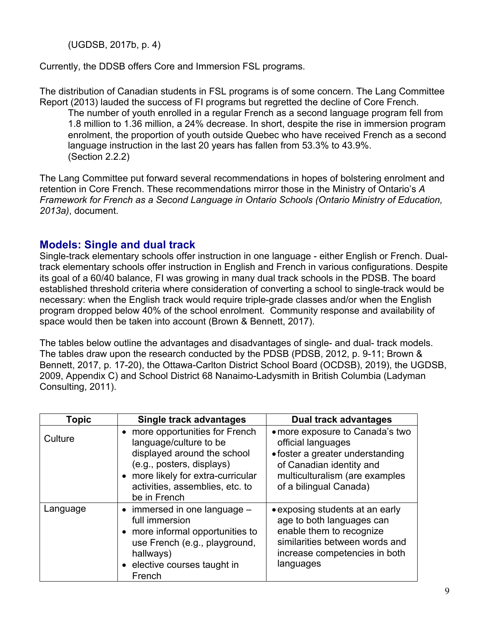(UGDSB, 2017b, p. 4)

Currently, the DDSB offers Core and Immersion FSL programs.

The distribution of Canadian students in FSL programs is of some concern. The Lang Committee Report (2013) lauded the success of FI programs but regretted the decline of Core French.

The number of youth enrolled in a regular French as a second language program fell from 1.8 million to 1.36 million, a 24% decrease. In short, despite the rise in immersion program enrolment, the proportion of youth outside Quebec who have received French as a second language instruction in the last 20 years has fallen from 53.3% to 43.9%. (Section 2.2.2)

The Lang Committee put forward several recommendations in hopes of bolstering enrolment and retention in Core French. These recommendations mirror those in the Ministry of Ontario's *A Framework for French as a Second Language in Ontario Schools (Ontario Ministry of Education, 2013a)*, document.

# **Models: Single and dual track**

Single-track elementary schools offer instruction in one language - either English or French. Dualtrack elementary schools offer instruction in English and French in various configurations. Despite its goal of a 60/40 balance, FI was growing in many dual track schools in the PDSB. The board established threshold criteria where consideration of converting a school to single-track would be necessary: when the English track would require triple-grade classes and/or when the English program dropped below 40% of the school enrolment. Community response and availability of space would then be taken into account (Brown & Bennett, 2017).

The tables below outline the advantages and disadvantages of single- and dual- track models. The tables draw upon the research conducted by the PDSB (PDSB, 2012, p. 9-11; Brown & Bennett, 2017, p. 17-20), the Ottawa-Carlton District School Board (OCDSB), 2019), the UGDSB, 2009, Appendix C) and School District 68 Nanaimo-Ladysmith in British Columbia (Ladyman Consulting, 2011).

| Topic    | Single track advantages                                                                                                                                                                                      | <b>Dual track advantages</b>                                                                                                                                                      |
|----------|--------------------------------------------------------------------------------------------------------------------------------------------------------------------------------------------------------------|-----------------------------------------------------------------------------------------------------------------------------------------------------------------------------------|
| Culture  | more opportunities for French<br>language/culture to be<br>displayed around the school<br>(e.g., posters, displays)<br>• more likely for extra-curricular<br>activities, assemblies, etc. to<br>be in French | • more exposure to Canada's two<br>official languages<br>• foster a greater understanding<br>of Canadian identity and<br>multiculturalism (are examples<br>of a bilingual Canada) |
| Language | $\bullet$ immersed in one language $-$<br>full immersion<br>• more informal opportunities to<br>use French (e.g., playground,<br>hallways)<br>• elective courses taught in<br>French                         | • exposing students at an early<br>age to both languages can<br>enable them to recognize<br>similarities between words and<br>increase competencies in both<br>languages          |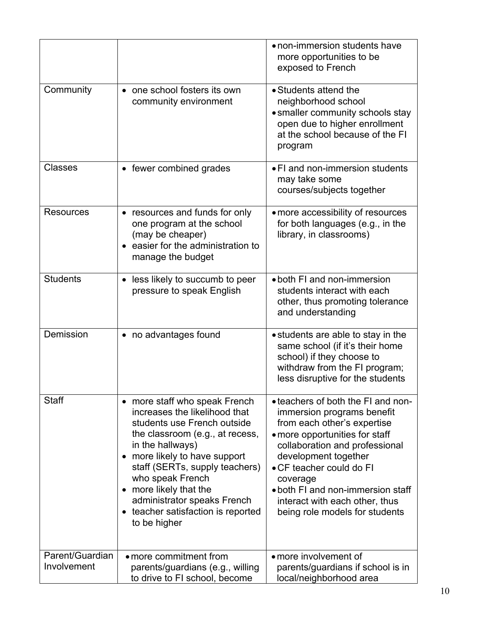|                                |                                                                                                                                                                                                                                                                                                                                                      | • non-immersion students have<br>more opportunities to be<br>exposed to French                                                                                                                                                                                                                                                               |
|--------------------------------|------------------------------------------------------------------------------------------------------------------------------------------------------------------------------------------------------------------------------------------------------------------------------------------------------------------------------------------------------|----------------------------------------------------------------------------------------------------------------------------------------------------------------------------------------------------------------------------------------------------------------------------------------------------------------------------------------------|
| Community                      | one school fosters its own<br>community environment                                                                                                                                                                                                                                                                                                  | • Students attend the<br>neighborhood school<br>• smaller community schools stay<br>open due to higher enrollment<br>at the school because of the FI<br>program                                                                                                                                                                              |
| <b>Classes</b>                 | • fewer combined grades                                                                                                                                                                                                                                                                                                                              | • FI and non-immersion students<br>may take some<br>courses/subjects together                                                                                                                                                                                                                                                                |
| <b>Resources</b>               | resources and funds for only<br>one program at the school<br>(may be cheaper)<br>easier for the administration to<br>manage the budget                                                                                                                                                                                                               | • more accessibility of resources<br>for both languages (e.g., in the<br>library, in classrooms)                                                                                                                                                                                                                                             |
| <b>Students</b>                | less likely to succumb to peer<br>pressure to speak English                                                                                                                                                                                                                                                                                          | • both FI and non-immersion<br>students interact with each<br>other, thus promoting tolerance<br>and understanding                                                                                                                                                                                                                           |
| Demission                      | • no advantages found                                                                                                                                                                                                                                                                                                                                | • students are able to stay in the<br>same school (if it's their home<br>school) if they choose to<br>withdraw from the FI program;<br>less disruptive for the students                                                                                                                                                                      |
| <b>Staff</b>                   | • more staff who speak French<br>increases the likelihood that<br>students use French outside<br>the classroom (e.g., at recess,<br>in the hallways)<br>more likely to have support<br>staff (SERTs, supply teachers)<br>who speak French<br>more likely that the<br>administrator speaks French<br>teacher satisfaction is reported<br>to be higher | • teachers of both the FI and non-<br>immersion programs benefit<br>from each other's expertise<br>• more opportunities for staff<br>collaboration and professional<br>development together<br>• CF teacher could do FI<br>coverage<br>• both FI and non-immersion staff<br>interact with each other, thus<br>being role models for students |
| Parent/Guardian<br>Involvement | • more commitment from<br>parents/guardians (e.g., willing                                                                                                                                                                                                                                                                                           | • more involvement of<br>parents/guardians if school is in                                                                                                                                                                                                                                                                                   |
|                                | to drive to FI school, become                                                                                                                                                                                                                                                                                                                        | local/neighborhood area                                                                                                                                                                                                                                                                                                                      |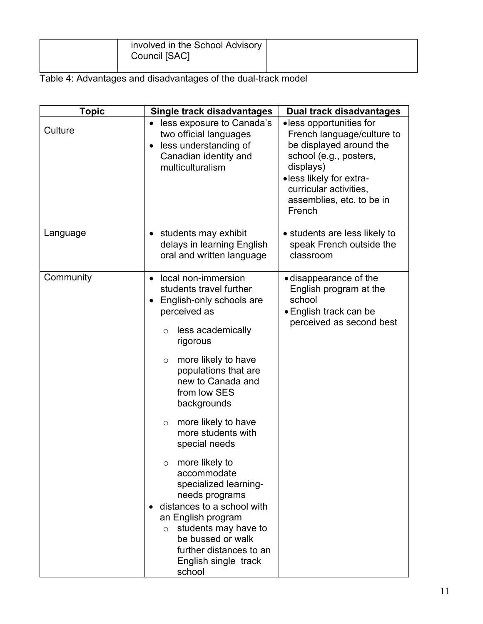|  |  | involved in the School Advisory<br>Council [SAC] |  |
|--|--|--------------------------------------------------|--|
|--|--|--------------------------------------------------|--|

|  | Table 4: Advantages and disadvantages of the dual-track model |
|--|---------------------------------------------------------------|
|  |                                                               |

| <b>Topic</b> | <b>Single track disadvantages</b>                                                                                                                                                                                                                                                                                                                                                                                                                                                                                                                                                                               | <b>Dual track disadvantages</b>                                                                                                                                                                                     |
|--------------|-----------------------------------------------------------------------------------------------------------------------------------------------------------------------------------------------------------------------------------------------------------------------------------------------------------------------------------------------------------------------------------------------------------------------------------------------------------------------------------------------------------------------------------------------------------------------------------------------------------------|---------------------------------------------------------------------------------------------------------------------------------------------------------------------------------------------------------------------|
| Culture      | • less exposure to Canada's<br>two official languages<br>less understanding of<br>$\bullet$<br>Canadian identity and<br>multiculturalism                                                                                                                                                                                                                                                                                                                                                                                                                                                                        | •less opportunities for<br>French language/culture to<br>be displayed around the<br>school (e.g., posters,<br>displays)<br>·less likely for extra-<br>curricular activities,<br>assemblies, etc. to be in<br>French |
| Language     | students may exhibit<br>٠<br>delays in learning English<br>oral and written language                                                                                                                                                                                                                                                                                                                                                                                                                                                                                                                            | • students are less likely to<br>speak French outside the<br>classroom                                                                                                                                              |
| Community    | local non-immersion<br>$\bullet$<br>students travel further<br>English-only schools are<br>٠<br>perceived as<br>less academically<br>$\circ$<br>rigorous<br>more likely to have<br>$\circ$<br>populations that are<br>new to Canada and<br>from low SES<br>backgrounds<br>more likely to have<br>$\circ$<br>more students with<br>special needs<br>more likely to<br>$\circ$<br>accommodate<br>specialized learning-<br>needs programs<br>distances to a school with<br>an English program<br>students may have to<br>$\circ$<br>be bussed or walk<br>further distances to an<br>English single track<br>school | · disappearance of the<br>English program at the<br>school<br>• English track can be<br>perceived as second best                                                                                                    |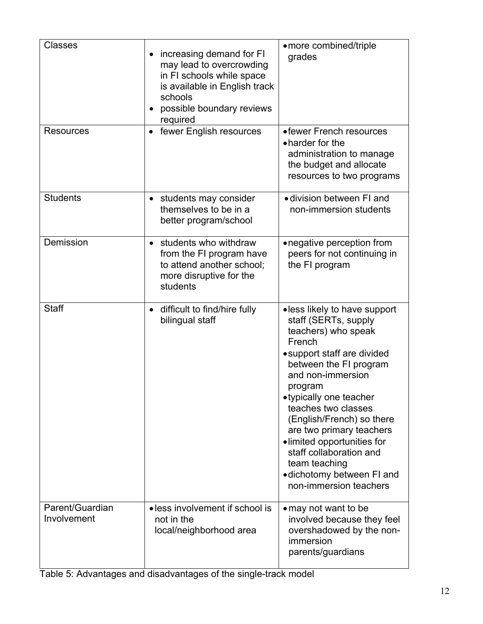| <b>Classes</b>                 | increasing demand for FI<br>$\bullet$<br>may lead to overcrowding<br>in FI schools while space<br>is available in English track<br>schools<br>possible boundary reviews<br>required | ·more combined/triple<br>grades                                                                                                                                                                                                                                                                                                                                                                                             |
|--------------------------------|-------------------------------------------------------------------------------------------------------------------------------------------------------------------------------------|-----------------------------------------------------------------------------------------------------------------------------------------------------------------------------------------------------------------------------------------------------------------------------------------------------------------------------------------------------------------------------------------------------------------------------|
| <b>Resources</b>               | fewer English resources<br>$\bullet$                                                                                                                                                | • fewer French resources<br>• harder for the<br>administration to manage<br>the budget and allocate<br>resources to two programs                                                                                                                                                                                                                                                                                            |
| <b>Students</b>                | students may consider<br>$\bullet$<br>themselves to be in a<br>better program/school                                                                                                | · division between FI and<br>non-immersion students                                                                                                                                                                                                                                                                                                                                                                         |
| Demission                      | students who withdraw<br>$\bullet$<br>from the FI program have<br>to attend another school;<br>more disruptive for the<br>students                                                  | • negative perception from<br>peers for not continuing in<br>the FI program                                                                                                                                                                                                                                                                                                                                                 |
| <b>Staff</b>                   | difficult to find/hire fully<br>$\bullet$<br>bilingual staff                                                                                                                        | • less likely to have support<br>staff (SERTs, supply<br>teachers) who speak<br>French<br>• support staff are divided<br>between the FI program<br>and non-immersion<br>program<br>•typically one teacher<br>teaches two classes<br>(English/French) so there<br>are two primary teachers<br>·limited opportunities for<br>staff collaboration and<br>team teaching<br>• dichotomy between FI and<br>non-immersion teachers |
| Parent/Guardian<br>Involvement | • less involvement if school is<br>not in the<br>local/neighborhood area                                                                                                            | • may not want to be<br>involved because they feel<br>overshadowed by the non-<br>immersion<br>parents/guardians                                                                                                                                                                                                                                                                                                            |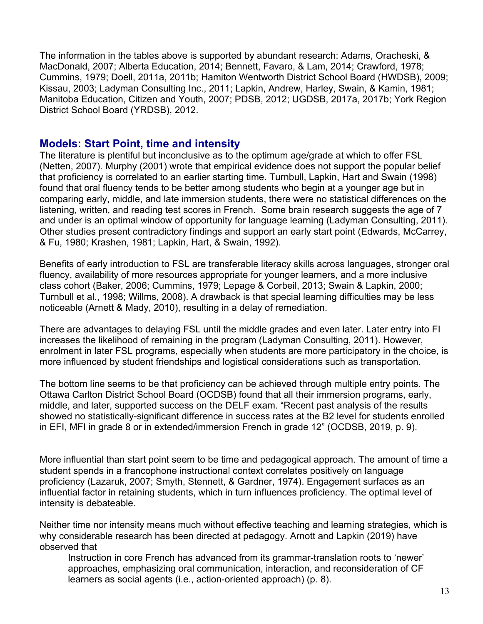The information in the tables above is supported by abundant research: Adams, Oracheski, & MacDonald, 2007; Alberta Education, 2014; Bennett, Favaro, & Lam, 2014; Crawford, 1978; Cummins, 1979; Doell, 2011a, 2011b; Hamiton Wentworth District School Board (HWDSB), 2009; Kissau, 2003; Ladyman Consulting Inc., 2011; Lapkin, Andrew, Harley, Swain, & Kamin, 1981; Manitoba Education, Citizen and Youth, 2007; PDSB, 2012; UGDSB, 2017a, 2017b; York Region District School Board (YRDSB), 2012.

#### **Models: Start Point, time and intensity**

The literature is plentiful but inconclusive as to the optimum age/grade at which to offer FSL (Netten, 2007). Murphy (2001) wrote that empirical evidence does not support the popular belief that proficiency is correlated to an earlier starting time. Turnbull, Lapkin, Hart and Swain (1998) found that oral fluency tends to be better among students who begin at a younger age but in comparing early, middle, and late immersion students, there were no statistical differences on the listening, written, and reading test scores in French. Some brain research suggests the age of 7 and under is an optimal window of opportunity for language learning (Ladyman Consulting, 2011). Other studies present contradictory findings and support an early start point (Edwards, McCarrey, & Fu, 1980; Krashen, 1981; Lapkin, Hart, & Swain, 1992).

Benefits of early introduction to FSL are transferable literacy skills across languages, stronger oral fluency, availability of more resources appropriate for younger learners, and a more inclusive class cohort (Baker, 2006; Cummins, 1979; Lepage & Corbeil, 2013; Swain & Lapkin, 2000; Turnbull et al., 1998; Willms, 2008). A drawback is that special learning difficulties may be less noticeable (Arnett & Mady, 2010), resulting in a delay of remediation.

There are advantages to delaying FSL until the middle grades and even later. Later entry into FI increases the likelihood of remaining in the program (Ladyman Consulting, 2011). However, enrolment in later FSL programs, especially when students are more participatory in the choice, is more influenced by student friendships and logistical considerations such as transportation.

The bottom line seems to be that proficiency can be achieved through multiple entry points. The Ottawa Carlton District School Board (OCDSB) found that all their immersion programs, early, middle, and later, supported success on the DELF exam. "Recent past analysis of the results showed no statistically-significant difference in success rates at the B2 level for students enrolled in EFI, MFI in grade 8 or in extended/immersion French in grade 12" (OCDSB, 2019, p. 9).

More influential than start point seem to be time and pedagogical approach. The amount of time a student spends in a francophone instructional context correlates positively on language proficiency (Lazaruk, 2007; Smyth, Stennett, & Gardner, 1974). Engagement surfaces as an influential factor in retaining students, which in turn influences proficiency. The optimal level of intensity is debateable.

Neither time nor intensity means much without effective teaching and learning strategies, which is why considerable research has been directed at pedagogy. Arnott and Lapkin (2019) have observed that

Instruction in core French has advanced from its grammar-translation roots to 'newer' approaches, emphasizing oral communication, interaction, and reconsideration of CF learners as social agents (i.e., action-oriented approach) (p. 8).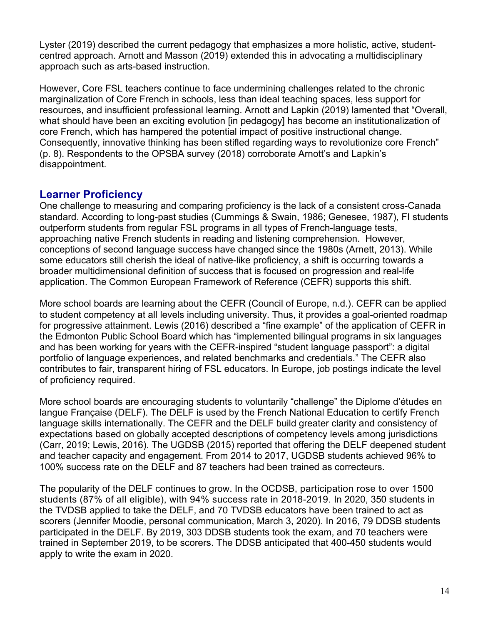Lyster (2019) described the current pedagogy that emphasizes a more holistic, active, studentcentred approach. Arnott and Masson (2019) extended this in advocating a multidisciplinary approach such as arts-based instruction.

However, Core FSL teachers continue to face undermining challenges related to the chronic marginalization of Core French in schools, less than ideal teaching spaces, less support for resources, and insufficient professional learning. Arnott and Lapkin (2019) lamented that "Overall, what should have been an exciting evolution [in pedagogy] has become an institutionalization of core French, which has hampered the potential impact of positive instructional change. Consequently, innovative thinking has been stifled regarding ways to revolutionize core French" (p. 8). Respondents to the OPSBA survey (2018) corroborate Arnott's and Lapkin's disappointment.

# **Learner Proficiency**

One challenge to measuring and comparing proficiency is the lack of a consistent cross-Canada standard. According to long-past studies (Cummings & Swain, 1986; Genesee, 1987), FI students outperform students from regular FSL programs in all types of French-language tests, approaching native French students in reading and listening comprehension. However, conceptions of second language success have changed since the 1980s (Arnett, 2013). While some educators still cherish the ideal of native-like proficiency, a shift is occurring towards a broader multidimensional definition of success that is focused on progression and real-life application. The Common European Framework of Reference (CEFR) supports this shift.

More school boards are learning about the CEFR (Council of Europe, n.d.). CEFR can be applied to student competency at all levels including university. Thus, it provides a goal-oriented roadmap for progressive attainment. Lewis (2016) described a "fine example" of the application of CEFR in the Edmonton Public School Board which has "implemented bilingual programs in six languages and has been working for years with the CEFR-inspired "student language passport": a digital portfolio of language experiences, and related benchmarks and credentials." The CEFR also contributes to fair, transparent hiring of FSL educators. In Europe, job postings indicate the level of proficiency required.

More school boards are encouraging students to voluntarily "challenge" the Diplome d'études en langue Française (DELF). The DELF is used by the French National Education to certify French language skills internationally. The CEFR and the DELF build greater clarity and consistency of expectations based on globally accepted descriptions of competency levels among jurisdictions (Carr, 2019; Lewis, 2016). The UGDSB (2015) reported that offering the DELF deepened student and teacher capacity and engagement. From 2014 to 2017, UGDSB students achieved 96% to 100% success rate on the DELF and 87 teachers had been trained as correcteurs.

The popularity of the DELF continues to grow. In the OCDSB, participation rose to over 1500 students (87% of all eligible), with 94% success rate in 2018-2019. In 2020, 350 students in the TVDSB applied to take the DELF, and 70 TVDSB educators have been trained to act as scorers (Jennifer Moodie, personal communication, March 3, 2020). In 2016, 79 DDSB students participated in the DELF. By 2019, 303 DDSB students took the exam, and 70 teachers were trained in September 2019, to be scorers. The DDSB anticipated that 400-450 students would apply to write the exam in 2020.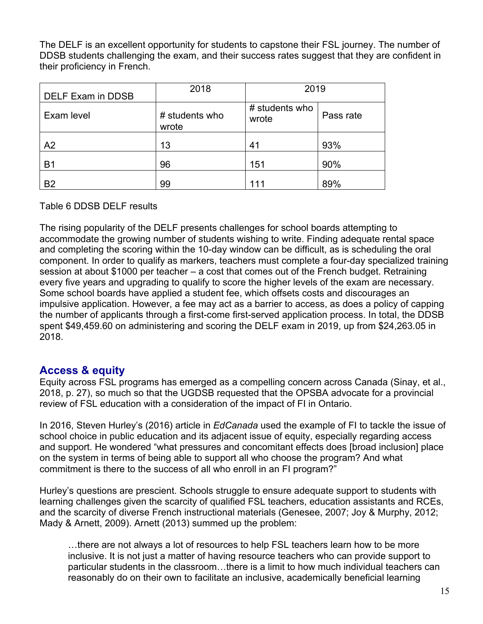The DELF is an excellent opportunity for students to capstone their FSL journey. The number of DDSB students challenging the exam, and their success rates suggest that they are confident in their proficiency in French.

| DELF Exam in DDSB | 2018                    | 2019                    |           |
|-------------------|-------------------------|-------------------------|-----------|
| Exam level        | # students who<br>wrote | # students who<br>wrote | Pass rate |
| A <sub>2</sub>    | 13                      | 41                      | 93%       |
| <b>B1</b>         | 96                      | 151                     | 90%       |
| B <sub>2</sub>    | 99                      | 111                     | 89%       |

Table 6 DDSB DELF results

The rising popularity of the DELF presents challenges for school boards attempting to accommodate the growing number of students wishing to write. Finding adequate rental space and completing the scoring within the 10-day window can be difficult, as is scheduling the oral component. In order to qualify as markers, teachers must complete a four-day specialized training session at about \$1000 per teacher – a cost that comes out of the French budget. Retraining every five years and upgrading to qualify to score the higher levels of the exam are necessary. Some school boards have applied a student fee, which offsets costs and discourages an impulsive application. However, a fee may act as a barrier to access, as does a policy of capping the number of applicants through a first-come first-served application process. In total, the DDSB spent \$49,459.60 on administering and scoring the DELF exam in 2019, up from \$24,263.05 in 2018.

# **Access & equity**

Equity across FSL programs has emerged as a compelling concern across Canada (Sinay, et al., 2018, p. 27), so much so that the UGDSB requested that the OPSBA advocate for a provincial review of FSL education with a consideration of the impact of FI in Ontario.

In 2016, Steven Hurley's (2016) article in *EdCanada* used the example of FI to tackle the issue of school choice in public education and its adjacent issue of equity, especially regarding access and support. He wondered "what pressures and concomitant effects does [broad inclusion] place on the system in terms of being able to support all who choose the program? And what commitment is there to the success of all who enroll in an FI program?"

Hurley's questions are prescient. Schools struggle to ensure adequate support to students with learning challenges given the scarcity of qualified FSL teachers, education assistants and RCEs, and the scarcity of diverse French instructional materials (Genesee, 2007; Joy & Murphy, 2012; Mady & Arnett, 2009). Arnett (2013) summed up the problem:

…there are not always a lot of resources to help FSL teachers learn how to be more inclusive. It is not just a matter of having resource teachers who can provide support to particular students in the classroom…there is a limit to how much individual teachers can reasonably do on their own to facilitate an inclusive, academically beneficial learning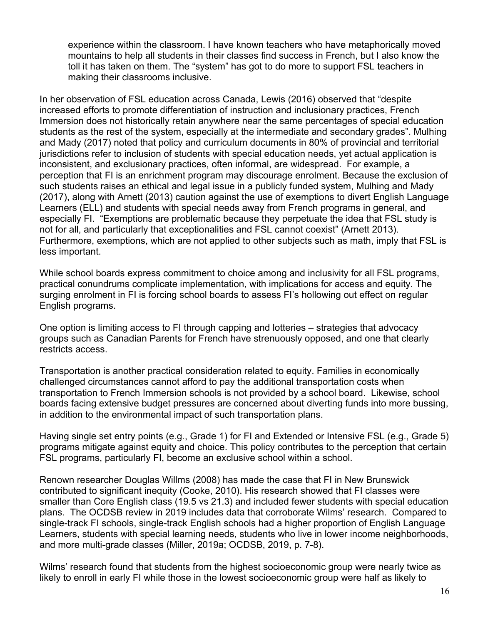experience within the classroom. I have known teachers who have metaphorically moved mountains to help all students in their classes find success in French, but I also know the toll it has taken on them. The "system" has got to do more to support FSL teachers in making their classrooms inclusive.

In her observation of FSL education across Canada, Lewis (2016) observed that "despite increased efforts to promote differentiation of instruction and inclusionary practices, French Immersion does not historically retain anywhere near the same percentages of special education students as the rest of the system, especially at the intermediate and secondary grades". Mulhing and Mady (2017) noted that policy and curriculum documents in 80% of provincial and territorial jurisdictions refer to inclusion of students with special education needs, yet actual application is inconsistent, and exclusionary practices, often informal, are widespread. For example, a perception that FI is an enrichment program may discourage enrolment. Because the exclusion of such students raises an ethical and legal issue in a publicly funded system, Mulhing and Mady (2017), along with Arnett (2013) caution against the use of exemptions to divert English Language Learners (ELL) and students with special needs away from French programs in general, and especially FI. "Exemptions are problematic because they perpetuate the idea that FSL study is not for all, and particularly that exceptionalities and FSL cannot coexist" (Arnett 2013). Furthermore, exemptions, which are not applied to other subjects such as math, imply that FSL is less important.

While school boards express commitment to choice among and inclusivity for all FSL programs, practical conundrums complicate implementation, with implications for access and equity. The surging enrolment in FI is forcing school boards to assess FI's hollowing out effect on regular English programs.

One option is limiting access to FI through capping and lotteries – strategies that advocacy groups such as Canadian Parents for French have strenuously opposed, and one that clearly restricts access.

Transportation is another practical consideration related to equity. Families in economically challenged circumstances cannot afford to pay the additional transportation costs when transportation to French Immersion schools is not provided by a school board. Likewise, school boards facing extensive budget pressures are concerned about diverting funds into more bussing, in addition to the environmental impact of such transportation plans.

Having single set entry points (e.g., Grade 1) for FI and Extended or Intensive FSL (e.g., Grade 5) programs mitigate against equity and choice. This policy contributes to the perception that certain FSL programs, particularly FI, become an exclusive school within a school.

Renown researcher Douglas Willms (2008) has made the case that FI in New Brunswick contributed to significant inequity (Cooke, 2010). His research showed that FI classes were smaller than Core English class (19.5 vs 21.3) and included fewer students with special education plans. The OCDSB review in 2019 includes data that corroborate Wilms' research. Compared to single-track FI schools, single-track English schools had a higher proportion of English Language Learners, students with special learning needs, students who live in lower income neighborhoods, and more multi-grade classes (Miller, 2019a; OCDSB, 2019, p. 7-8).

Wilms' research found that students from the highest socioeconomic group were nearly twice as likely to enroll in early FI while those in the lowest socioeconomic group were half as likely to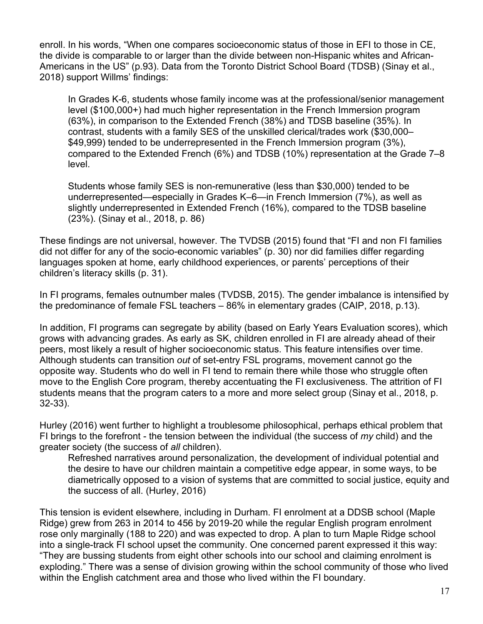enroll. In his words, "When one compares socioeconomic status of those in EFI to those in CE, the divide is comparable to or larger than the divide between non-Hispanic whites and African-Americans in the US" (p.93). Data from the Toronto District School Board (TDSB) (Sinay et al., 2018) support Willms' findings:

In Grades K-6, students whose family income was at the professional/senior management level (\$100,000+) had much higher representation in the French Immersion program (63%), in comparison to the Extended French (38%) and TDSB baseline (35%). In contrast, students with a family SES of the unskilled clerical/trades work (\$30,000– \$49,999) tended to be underrepresented in the French Immersion program (3%), compared to the Extended French (6%) and TDSB (10%) representation at the Grade 7–8 level.

Students whose family SES is non-remunerative (less than \$30,000) tended to be underrepresented—especially in Grades K–6—in French Immersion (7%), as well as slightly underrepresented in Extended French (16%), compared to the TDSB baseline (23%). (Sinay et al., 2018, p. 86)

These findings are not universal, however. The TVDSB (2015) found that "FI and non FI families did not differ for any of the socio-economic variables" (p. 30) nor did families differ regarding languages spoken at home, early childhood experiences, or parents' perceptions of their children's literacy skills (p. 31).

In FI programs, females outnumber males (TVDSB, 2015). The gender imbalance is intensified by the predominance of female FSL teachers – 86% in elementary grades (CAIP, 2018, p.13).

In addition, FI programs can segregate by ability (based on Early Years Evaluation scores), which grows with advancing grades. As early as SK, children enrolled in FI are already ahead of their peers, most likely a result of higher socioeconomic status. This feature intensifies over time. Although students can transition *out* of set-entry FSL programs, movement cannot go the opposite way. Students who do well in FI tend to remain there while those who struggle often move to the English Core program, thereby accentuating the FI exclusiveness. The attrition of FI students means that the program caters to a more and more select group (Sinay et al., 2018, p. 32-33).

Hurley (2016) went further to highlight a troublesome philosophical, perhaps ethical problem that FI brings to the forefront - the tension between the individual (the success of *my* child) and the greater society (the success of *all* children).

Refreshed narratives around personalization, the development of individual potential and the desire to have our children maintain a competitive edge appear, in some ways, to be diametrically opposed to a vision of systems that are committed to social justice, equity and the success of all. (Hurley, 2016)

This tension is evident elsewhere, including in Durham. FI enrolment at a DDSB school (Maple Ridge) grew from 263 in 2014 to 456 by 2019-20 while the regular English program enrolment rose only marginally (188 to 220) and was expected to drop. A plan to turn Maple Ridge school into a single-track FI school upset the community. One concerned parent expressed it this way: "They are bussing students from eight other schools into our school and claiming enrolment is exploding." There was a sense of division growing within the school community of those who lived within the English catchment area and those who lived within the FI boundary.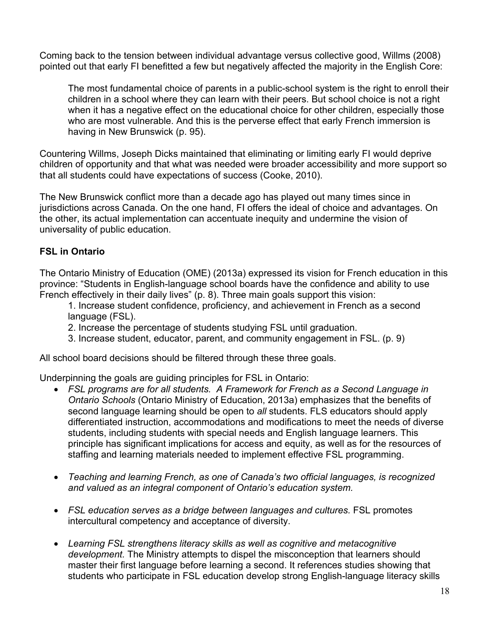Coming back to the tension between individual advantage versus collective good, Willms (2008) pointed out that early FI benefitted a few but negatively affected the majority in the English Core:

The most fundamental choice of parents in a public-school system is the right to enroll their children in a school where they can learn with their peers. But school choice is not a right when it has a negative effect on the educational choice for other children, especially those who are most vulnerable. And this is the perverse effect that early French immersion is having in New Brunswick (p. 95).

Countering Willms, Joseph Dicks maintained that eliminating or limiting early FI would deprive children of opportunity and that what was needed were broader accessibility and more support so that all students could have expectations of success (Cooke, 2010).

The New Brunswick conflict more than a decade ago has played out many times since in jurisdictions across Canada. On the one hand, FI offers the ideal of choice and advantages. On the other, its actual implementation can accentuate inequity and undermine the vision of universality of public education.

#### **FSL in Ontario**

The Ontario Ministry of Education (OME) (2013a) expressed its vision for French education in this province: "Students in English-language school boards have the confidence and ability to use French effectively in their daily lives" (p. 8). Three main goals support this vision:

- 1. Increase student confidence, proficiency, and achievement in French as a second language (FSL).
- 2. Increase the percentage of students studying FSL until graduation.
- 3. Increase student, educator, parent, and community engagement in FSL. (p. 9)

All school board decisions should be filtered through these three goals.

Underpinning the goals are guiding principles for FSL in Ontario:

- *FSL programs are for all students. A Framework for French as a Second Language in Ontario Schools* (Ontario Ministry of Education, 2013a) emphasizes that the benefits of second language learning should be open to *all* students. FLS educators should apply differentiated instruction, accommodations and modifications to meet the needs of diverse students, including students with special needs and English language learners. This principle has significant implications for access and equity, as well as for the resources of staffing and learning materials needed to implement effective FSL programming.
- *Teaching and learning French, as one of Canada's two official languages, is recognized and valued as an integral component of Ontario's education system.*
- FSL education serves as a bridge between languages and cultures. FSL promotes intercultural competency and acceptance of diversity.
- *Learning FSL strengthens literacy skills as well as cognitive and metacognitive development.* The Ministry attempts to dispel the misconception that learners should master their first language before learning a second. It references studies showing that students who participate in FSL education develop strong English-language literacy skills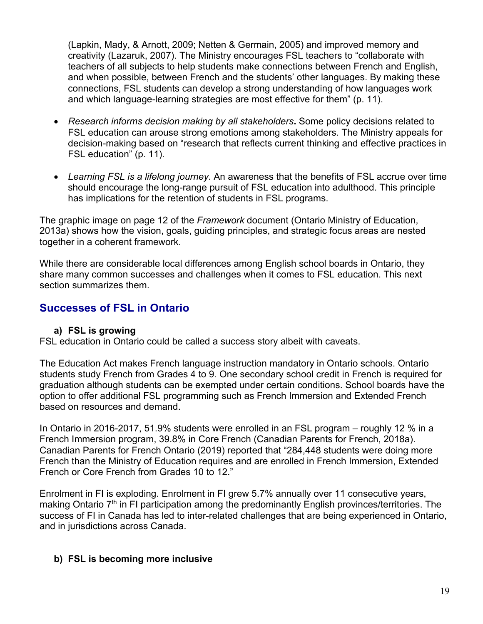(Lapkin, Mady, & Arnott, 2009; Netten & Germain, 2005) and improved memory and creativity (Lazaruk, 2007). The Ministry encourages FSL teachers to "collaborate with teachers of all subjects to help students make connections between French and English, and when possible, between French and the students' other languages. By making these connections, FSL students can develop a strong understanding of how languages work and which language-learning strategies are most effective for them" (p. 11).

- *Research informs decision making by all stakeholders***.** Some policy decisions related to FSL education can arouse strong emotions among stakeholders. The Ministry appeals for decision-making based on "research that reflects current thinking and effective practices in FSL education" (p. 11).
- *Learning FSL is a lifelong journey*. An awareness that the benefits of FSL accrue over time should encourage the long-range pursuit of FSL education into adulthood. This principle has implications for the retention of students in FSL programs.

The graphic image on page 12 of the *Framework* document (Ontario Ministry of Education, 2013a) shows how the vision, goals, guiding principles, and strategic focus areas are nested together in a coherent framework.

While there are considerable local differences among English school boards in Ontario, they share many common successes and challenges when it comes to FSL education. This next section summarizes them.

# **Successes of FSL in Ontario**

#### **a) FSL is growing**

FSL education in Ontario could be called a success story albeit with caveats.

The Education Act makes French language instruction mandatory in Ontario schools. Ontario students study French from Grades 4 to 9. One secondary school credit in French is required for graduation although students can be exempted under certain conditions. School boards have the option to offer additional FSL programming such as French Immersion and Extended French based on resources and demand.

In Ontario in 2016-2017, 51.9% students were enrolled in an FSL program – roughly 12 % in a French Immersion program, 39.8% in Core French (Canadian Parents for French, 2018a). Canadian Parents for French Ontario (2019) reported that "284,448 students were doing more French than the Ministry of Education requires and are enrolled in French Immersion, Extended French or Core French from Grades 10 to 12."

Enrolment in FI is exploding. Enrolment in FI grew 5.7% annually over 11 consecutive years, making Ontario  $7<sup>th</sup>$  in FI participation among the predominantly English provinces/territories. The success of FI in Canada has led to inter-related challenges that are being experienced in Ontario, and in jurisdictions across Canada.

# **b) FSL is becoming more inclusive**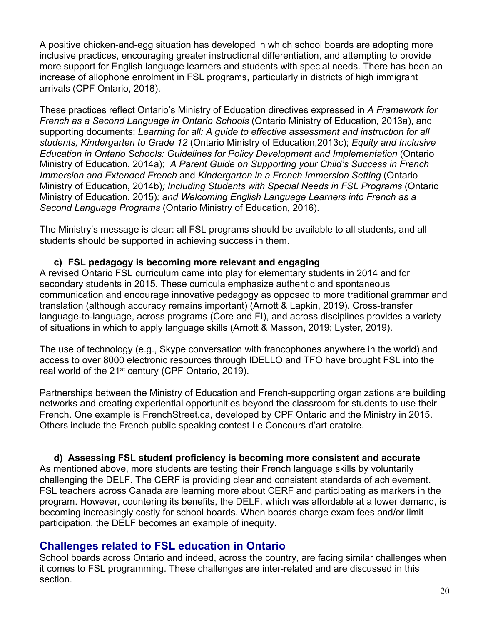A positive chicken-and-egg situation has developed in which school boards are adopting more inclusive practices, encouraging greater instructional differentiation, and attempting to provide more support for English language learners and students with special needs. There has been an increase of allophone enrolment in FSL programs, particularly in districts of high immigrant arrivals (CPF Ontario, 2018).

These practices reflect Ontario's Ministry of Education directives expressed in *A Framework for French as a Second Language in Ontario Schools* (Ontario Ministry of Education, 2013a), and supporting documents: *Learning for all: A guide to effective assessment and instruction for all students, Kindergarten to Grade 12* (Ontario Ministry of Education,2013c); *Equity and Inclusive Education in Ontario Schools: Guidelines for Policy Development and Implementation* (Ontario Ministry of Education, 2014a); *A Parent Guide on Supporting your Child's Success in French Immersion and Extended French* and *Kindergarten in a French Immersion Setting* (Ontario Ministry of Education, 2014b)*; Including Students with Special Needs in FSL Programs* (Ontario Ministry of Education, 2015)*; and Welcoming English Language Learners into French as a Second Language Programs* (Ontario Ministry of Education, 2016).

The Ministry's message is clear: all FSL programs should be available to all students, and all students should be supported in achieving success in them.

#### **c) FSL pedagogy is becoming more relevant and engaging**

A revised Ontario FSL curriculum came into play for elementary students in 2014 and for secondary students in 2015. These curricula emphasize authentic and spontaneous communication and encourage innovative pedagogy as opposed to more traditional grammar and translation (although accuracy remains important) (Arnott & Lapkin, 2019). Cross-transfer language-to-language, across programs (Core and FI), and across disciplines provides a variety of situations in which to apply language skills (Arnott & Masson, 2019; Lyster, 2019).

The use of technology (e.g., Skype conversation with francophones anywhere in the world) and access to over 8000 electronic resources through IDELLO and TFO have brought FSL into the real world of the 21<sup>st</sup> century (CPF Ontario, 2019).

Partnerships between the Ministry of Education and French-supporting organizations are building networks and creating experiential opportunities beyond the classroom for students to use their French. One example is FrenchStreet.ca, developed by CPF Ontario and the Ministry in 2015. Others include the French public speaking contest Le Concours d'art oratoire.

**d) Assessing FSL student proficiency is becoming more consistent and accurate** As mentioned above, more students are testing their French language skills by voluntarily challenging the DELF. The CERF is providing clear and consistent standards of achievement. FSL teachers across Canada are learning more about CERF and participating as markers in the program. However, countering its benefits, the DELF, which was affordable at a lower demand, is becoming increasingly costly for school boards. When boards charge exam fees and/or limit participation, the DELF becomes an example of inequity.

# **Challenges related to FSL education in Ontario**

School boards across Ontario and indeed, across the country, are facing similar challenges when it comes to FSL programming. These challenges are inter-related and are discussed in this section.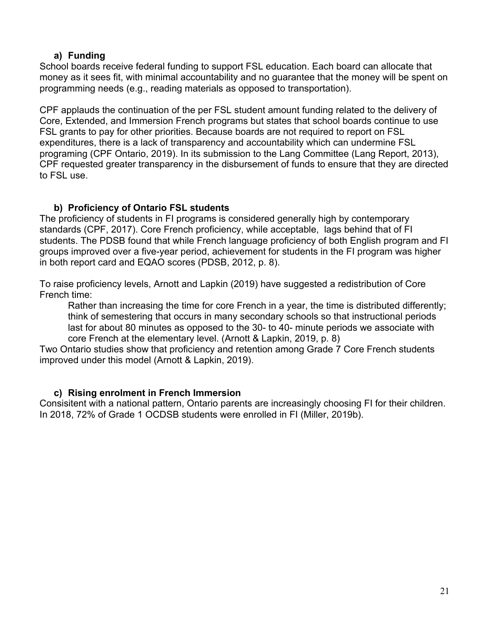#### **a) Funding**

School boards receive federal funding to support FSL education. Each board can allocate that money as it sees fit, with minimal accountability and no guarantee that the money will be spent on programming needs (e.g., reading materials as opposed to transportation).

CPF applauds the continuation of the per FSL student amount funding related to the delivery of Core, Extended, and Immersion French programs but states that school boards continue to use FSL grants to pay for other priorities. Because boards are not required to report on FSL expenditures, there is a lack of transparency and accountability which can undermine FSL programing (CPF Ontario, 2019). In its submission to the Lang Committee (Lang Report, 2013), CPF requested greater transparency in the disbursement of funds to ensure that they are directed to FSL use.

#### **b) Proficiency of Ontario FSL students**

The proficiency of students in FI programs is considered generally high by contemporary standards (CPF, 2017). Core French proficiency, while acceptable, lags behind that of FI students. The PDSB found that while French language proficiency of both English program and FI groups improved over a five-year period, achievement for students in the FI program was higher in both report card and EQAO scores (PDSB, 2012, p. 8).

To raise proficiency levels, Arnott and Lapkin (2019) have suggested a redistribution of Core French time:

Rather than increasing the time for core French in a year, the time is distributed differently; think of semestering that occurs in many secondary schools so that instructional periods last for about 80 minutes as opposed to the 30- to 40- minute periods we associate with core French at the elementary level. (Arnott & Lapkin, 2019, p. 8)

Two Ontario studies show that proficiency and retention among Grade 7 Core French students improved under this model (Arnott & Lapkin, 2019).

#### **c) Rising enrolment in French Immersion**

Consisitent with a national pattern, Ontario parents are increasingly choosing FI for their children. In 2018, 72% of Grade 1 OCDSB students were enrolled in FI (Miller, 2019b).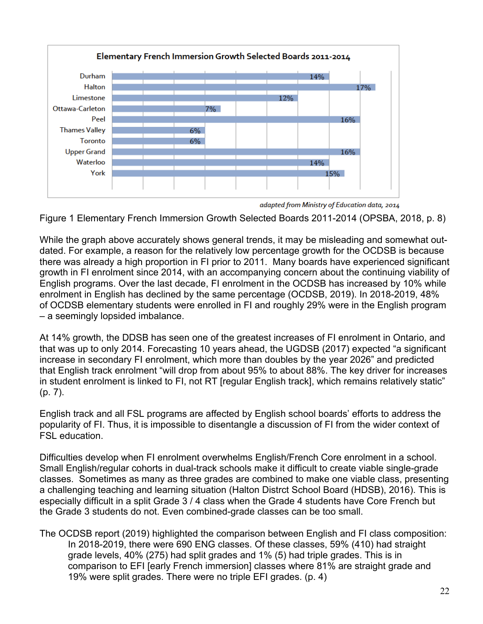

adapted from Ministry of Education data, 2014

Figure 1 Elementary French Immersion Growth Selected Boards 2011-2014 (OPSBA, 2018, p. 8)

While the graph above accurately shows general trends, it may be misleading and somewhat outdated. For example, a reason for the relatively low percentage growth for the OCDSB is because there was already a high proportion in FI prior to 2011. Many boards have experienced significant growth in FI enrolment since 2014, with an accompanying concern about the continuing viability of English programs. Over the last decade, FI enrolment in the OCDSB has increased by 10% while enrolment in English has declined by the same percentage (OCDSB, 2019). In 2018-2019, 48% of OCDSB elementary students were enrolled in FI and roughly 29% were in the English program – a seemingly lopsided imbalance.

At 14% growth, the DDSB has seen one of the greatest increases of FI enrolment in Ontario, and that was up to only 2014. Forecasting 10 years ahead, the UGDSB (2017) expected "a significant increase in secondary FI enrolment, which more than doubles by the year 2026" and predicted that English track enrolment "will drop from about 95% to about 88%. The key driver for increases in student enrolment is linked to FI, not RT [regular English track], which remains relatively static" (p. 7).

English track and all FSL programs are affected by English school boards' efforts to address the popularity of FI. Thus, it is impossible to disentangle a discussion of FI from the wider context of FSL education.

Difficulties develop when FI enrolment overwhelms English/French Core enrolment in a school. Small English/regular cohorts in dual-track schools make it difficult to create viable single-grade classes. Sometimes as many as three grades are combined to make one viable class, presenting a challenging teaching and learning situation (Halton Distrct School Board (HDSB), 2016). This is especially difficult in a split Grade 3 / 4 class when the Grade 4 students have Core French but the Grade 3 students do not. Even combined-grade classes can be too small.

The OCDSB report (2019) highlighted the comparison between English and FI class composition: In 2018-2019, there were 690 ENG classes. Of these classes, 59% (410) had straight grade levels, 40% (275) had split grades and 1% (5) had triple grades. This is in comparison to EFI [early French immersion] classes where 81% are straight grade and 19% were split grades. There were no triple EFI grades. (p. 4)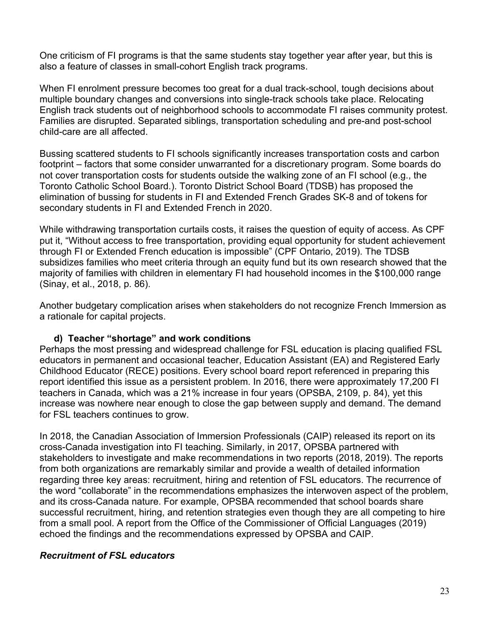One criticism of FI programs is that the same students stay together year after year, but this is also a feature of classes in small-cohort English track programs.

When FI enrolment pressure becomes too great for a dual track-school, tough decisions about multiple boundary changes and conversions into single-track schools take place. Relocating English track students out of neighborhood schools to accommodate FI raises community protest. Families are disrupted. Separated siblings, transportation scheduling and pre-and post-school child-care are all affected.

Bussing scattered students to FI schools significantly increases transportation costs and carbon footprint – factors that some consider unwarranted for a discretionary program. Some boards do not cover transportation costs for students outside the walking zone of an FI school (e.g., the Toronto Catholic School Board.). Toronto District School Board (TDSB) has proposed the elimination of bussing for students in FI and Extended French Grades SK-8 and of tokens for secondary students in FI and Extended French in 2020.

While withdrawing transportation curtails costs, it raises the question of equity of access. As CPF put it, "Without access to free transportation, providing equal opportunity for student achievement through FI or Extended French education is impossible" (CPF Ontario, 2019). The TDSB subsidizes families who meet criteria through an equity fund but its own research showed that the majority of families with children in elementary FI had household incomes in the \$100,000 range (Sinay, et al., 2018, p. 86).

Another budgetary complication arises when stakeholders do not recognize French Immersion as a rationale for capital projects.

#### **d) Teacher "shortage" and work conditions**

Perhaps the most pressing and widespread challenge for FSL education is placing qualified FSL educators in permanent and occasional teacher, Education Assistant (EA) and Registered Early Childhood Educator (RECE) positions. Every school board report referenced in preparing this report identified this issue as a persistent problem. In 2016, there were approximately 17,200 FI teachers in Canada, which was a 21% increase in four years (OPSBA, 2109, p. 84), yet this increase was nowhere near enough to close the gap between supply and demand. The demand for FSL teachers continues to grow.

In 2018, the Canadian Association of Immersion Professionals (CAIP) released its report on its cross-Canada investigation into FI teaching. Similarly, in 2017, OPSBA partnered with stakeholders to investigate and make recommendations in two reports (2018, 2019). The reports from both organizations are remarkably similar and provide a wealth of detailed information regarding three key areas: recruitment, hiring and retention of FSL educators. The recurrence of the word "collaborate" in the recommendations emphasizes the interwoven aspect of the problem, and its cross-Canada nature. For example, OPSBA recommended that school boards share successful recruitment, hiring, and retention strategies even though they are all competing to hire from a small pool. A report from the Office of the Commissioner of Official Languages (2019) echoed the findings and the recommendations expressed by OPSBA and CAIP.

#### *Recruitment of FSL educators*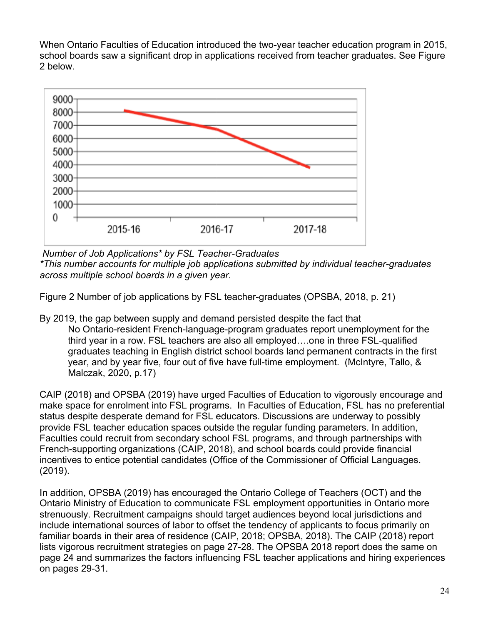When Ontario Faculties of Education introduced the two-year teacher education program in 2015, school boards saw a significant drop in applications received from teacher graduates. See Figure 2 below.



*Number of Job Applications\* by FSL Teacher-Graduates*

*\*This number accounts for multiple job applications submitted by individual teacher-graduates across multiple school boards in a given year.*

Figure 2 Number of job applications by FSL teacher-graduates (OPSBA, 2018, p. 21)

By 2019, the gap between supply and demand persisted despite the fact that No Ontario-resident French-language-program graduates report unemployment for the third year in a row. FSL teachers are also all employed….one in three FSL-qualified graduates teaching in English district school boards land permanent contracts in the first year, and by year five, four out of five have full-time employment. (McIntyre, Tallo, & Malczak, 2020, p.17)

CAIP (2018) and OPSBA (2019) have urged Faculties of Education to vigorously encourage and make space for enrolment into FSL programs. In Faculties of Education, FSL has no preferential status despite desperate demand for FSL educators. Discussions are underway to possibly provide FSL teacher education spaces outside the regular funding parameters. In addition, Faculties could recruit from secondary school FSL programs, and through partnerships with French-supporting organizations (CAIP, 2018), and school boards could provide financial incentives to entice potential candidates (Office of the Commissioner of Official Languages. (2019).

In addition, OPSBA (2019) has encouraged the Ontario College of Teachers (OCT) and the Ontario Ministry of Education to communicate FSL employment opportunities in Ontario more strenuously. Recruitment campaigns should target audiences beyond local jurisdictions and include international sources of labor to offset the tendency of applicants to focus primarily on familiar boards in their area of residence (CAIP, 2018; OPSBA, 2018). The CAIP (2018) report lists vigorous recruitment strategies on page 27-28. The OPSBA 2018 report does the same on page 24 and summarizes the factors influencing FSL teacher applications and hiring experiences on pages 29-31.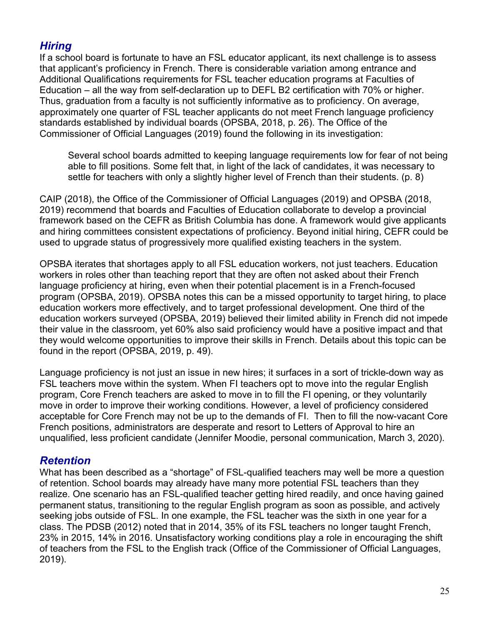# *Hiring*

If a school board is fortunate to have an FSL educator applicant, its next challenge is to assess that applicant's proficiency in French. There is considerable variation among entrance and Additional Qualifications requirements for FSL teacher education programs at Faculties of Education – all the way from self-declaration up to DEFL B2 certification with 70% or higher. Thus, graduation from a faculty is not sufficiently informative as to proficiency. On average, approximately one quarter of FSL teacher applicants do not meet French language proficiency standards established by individual boards (OPSBA, 2018, p. 26). The Office of the Commissioner of Official Languages (2019) found the following in its investigation:

Several school boards admitted to keeping language requirements low for fear of not being able to fill positions. Some felt that, in light of the lack of candidates, it was necessary to settle for teachers with only a slightly higher level of French than their students. (p. 8)

CAIP (2018), the Office of the Commissioner of Official Languages (2019) and OPSBA (2018, 2019) recommend that boards and Faculties of Education collaborate to develop a provincial framework based on the CEFR as British Columbia has done. A framework would give applicants and hiring committees consistent expectations of proficiency. Beyond initial hiring, CEFR could be used to upgrade status of progressively more qualified existing teachers in the system.

OPSBA iterates that shortages apply to all FSL education workers, not just teachers. Education workers in roles other than teaching report that they are often not asked about their French language proficiency at hiring, even when their potential placement is in a French-focused program (OPSBA, 2019). OPSBA notes this can be a missed opportunity to target hiring, to place education workers more effectively, and to target professional development. One third of the education workers surveyed (OPSBA, 2019) believed their limited ability in French did not impede their value in the classroom, yet 60% also said proficiency would have a positive impact and that they would welcome opportunities to improve their skills in French. Details about this topic can be found in the report (OPSBA, 2019, p. 49).

Language proficiency is not just an issue in new hires; it surfaces in a sort of trickle-down way as FSL teachers move within the system. When FI teachers opt to move into the regular English program, Core French teachers are asked to move in to fill the FI opening, or they voluntarily move in order to improve their working conditions. However, a level of proficiency considered acceptable for Core French may not be up to the demands of FI. Then to fill the now-vacant Core French positions, administrators are desperate and resort to Letters of Approval to hire an unqualified, less proficient candidate (Jennifer Moodie, personal communication, March 3, 2020).

# *Retention*

What has been described as a "shortage" of FSL-qualified teachers may well be more a question of retention. School boards may already have many more potential FSL teachers than they realize. One scenario has an FSL-qualified teacher getting hired readily, and once having gained permanent status, transitioning to the regular English program as soon as possible, and actively seeking jobs outside of FSL. In one example, the FSL teacher was the sixth in one year for a class. The PDSB (2012) noted that in 2014, 35% of its FSL teachers no longer taught French, 23% in 2015, 14% in 2016. Unsatisfactory working conditions play a role in encouraging the shift of teachers from the FSL to the English track (Office of the Commissioner of Official Languages, 2019).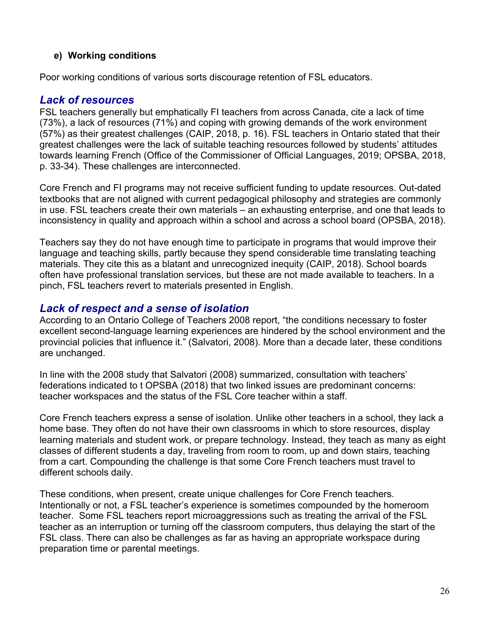#### **e) Working conditions**

Poor working conditions of various sorts discourage retention of FSL educators.

# *Lack of resources*

FSL teachers generally but emphatically FI teachers from across Canada, cite a lack of time (73%), a lack of resources (71%) and coping with growing demands of the work environment (57%) as their greatest challenges (CAIP, 2018, p. 16). FSL teachers in Ontario stated that their greatest challenges were the lack of suitable teaching resources followed by students' attitudes towards learning French (Office of the Commissioner of Official Languages, 2019; OPSBA, 2018, p. 33-34). These challenges are interconnected.

Core French and FI programs may not receive sufficient funding to update resources. Out-dated textbooks that are not aligned with current pedagogical philosophy and strategies are commonly in use. FSL teachers create their own materials – an exhausting enterprise, and one that leads to inconsistency in quality and approach within a school and across a school board (OPSBA, 2018).

Teachers say they do not have enough time to participate in programs that would improve their language and teaching skills, partly because they spend considerable time translating teaching materials. They cite this as a blatant and unrecognized inequity (CAIP, 2018). School boards often have professional translation services, but these are not made available to teachers. In a pinch, FSL teachers revert to materials presented in English.

# *Lack of respect and a sense of isolation*

According to an Ontario College of Teachers 2008 report, "the conditions necessary to foster excellent second-language learning experiences are hindered by the school environment and the provincial policies that influence it." (Salvatori, 2008). More than a decade later, these conditions are unchanged.

In line with the 2008 study that Salvatori (2008) summarized, consultation with teachers' federations indicated to t OPSBA (2018) that two linked issues are predominant concerns: teacher workspaces and the status of the FSL Core teacher within a staff.

Core French teachers express a sense of isolation. Unlike other teachers in a school, they lack a home base. They often do not have their own classrooms in which to store resources, display learning materials and student work, or prepare technology. Instead, they teach as many as eight classes of different students a day, traveling from room to room, up and down stairs, teaching from a cart. Compounding the challenge is that some Core French teachers must travel to different schools daily.

These conditions, when present, create unique challenges for Core French teachers. Intentionally or not, a FSL teacher's experience is sometimes compounded by the homeroom teacher. Some FSL teachers report microaggressions such as treating the arrival of the FSL teacher as an interruption or turning off the classroom computers, thus delaying the start of the FSL class. There can also be challenges as far as having an appropriate workspace during preparation time or parental meetings.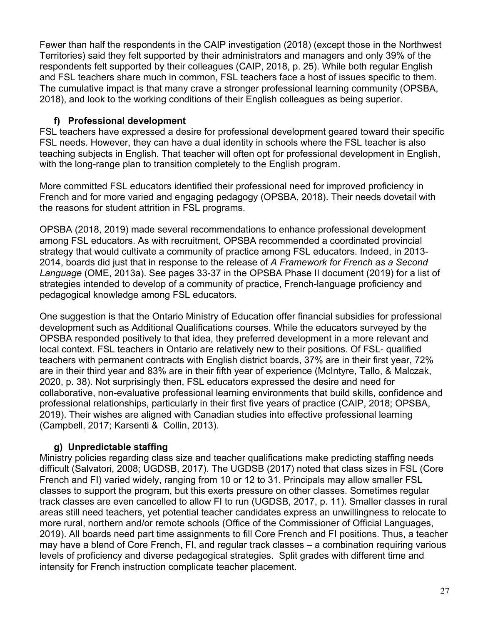Fewer than half the respondents in the CAIP investigation (2018) (except those in the Northwest Territories) said they felt supported by their administrators and managers and only 39% of the respondents felt supported by their colleagues (CAIP, 2018, p. 25). While both regular English and FSL teachers share much in common, FSL teachers face a host of issues specific to them. The cumulative impact is that many crave a stronger professional learning community (OPSBA, 2018), and look to the working conditions of their English colleagues as being superior.

#### **f) Professional development**

FSL teachers have expressed a desire for professional development geared toward their specific FSL needs. However, they can have a dual identity in schools where the FSL teacher is also teaching subjects in English. That teacher will often opt for professional development in English, with the long-range plan to transition completely to the English program.

More committed FSL educators identified their professional need for improved proficiency in French and for more varied and engaging pedagogy (OPSBA, 2018). Their needs dovetail with the reasons for student attrition in FSL programs.

OPSBA (2018, 2019) made several recommendations to enhance professional development among FSL educators. As with recruitment, OPSBA recommended a coordinated provincial strategy that would cultivate a community of practice among FSL educators. Indeed, in 2013- 2014, boards did just that in response to the release of *A Framework for French as a Second Language* (OME, 2013a). See pages 33-37 in the OPSBA Phase II document (2019) for a list of strategies intended to develop of a community of practice, French-language proficiency and pedagogical knowledge among FSL educators.

One suggestion is that the Ontario Ministry of Education offer financial subsidies for professional development such as Additional Qualifications courses. While the educators surveyed by the OPSBA responded positively to that idea, they preferred development in a more relevant and local context. FSL teachers in Ontario are relatively new to their positions. Of FSL- qualified teachers with permanent contracts with English district boards, 37% are in their first year, 72% are in their third year and 83% are in their fifth year of experience (McIntyre, Tallo, & Malczak, 2020, p. 38). Not surprisingly then, FSL educators expressed the desire and need for collaborative, non-evaluative professional learning environments that build skills, confidence and professional relationships, particularly in their first five years of practice (CAIP, 2018; OPSBA, 2019). Their wishes are aligned with Canadian studies into effective professional learning (Campbell, 2017; Karsenti & Collin, 2013).

# **g) Unpredictable staffing**

Ministry policies regarding class size and teacher qualifications make predicting staffing needs difficult (Salvatori, 2008; UGDSB, 2017). The UGDSB (2017) noted that class sizes in FSL (Core French and FI) varied widely, ranging from 10 or 12 to 31. Principals may allow smaller FSL classes to support the program, but this exerts pressure on other classes. Sometimes regular track classes are even cancelled to allow FI to run (UGDSB, 2017, p. 11). Smaller classes in rural areas still need teachers, yet potential teacher candidates express an unwillingness to relocate to more rural, northern and/or remote schools (Office of the Commissioner of Official Languages, 2019). All boards need part time assignments to fill Core French and FI positions. Thus, a teacher may have a blend of Core French, FI, and regular track classes – a combination requiring various levels of proficiency and diverse pedagogical strategies. Split grades with different time and intensity for French instruction complicate teacher placement.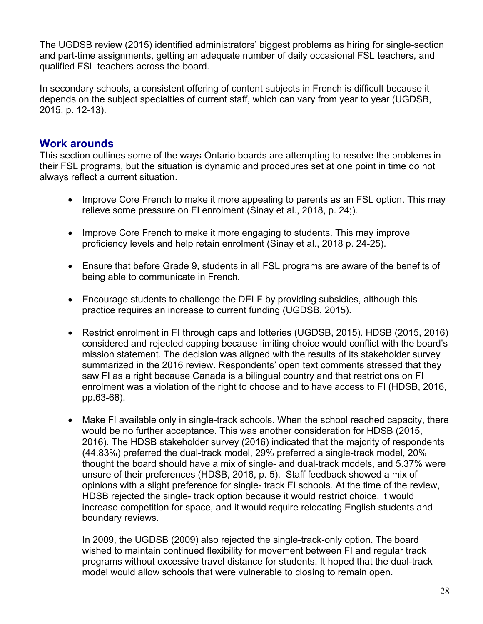The UGDSB review (2015) identified administrators' biggest problems as hiring for single-section and part-time assignments, getting an adequate number of daily occasional FSL teachers, and qualified FSL teachers across the board.

In secondary schools, a consistent offering of content subjects in French is difficult because it depends on the subject specialties of current staff, which can vary from year to year (UGDSB, 2015, p. 12-13).

# **Work arounds**

This section outlines some of the ways Ontario boards are attempting to resolve the problems in their FSL programs, but the situation is dynamic and procedures set at one point in time do not always reflect a current situation.

- Improve Core French to make it more appealing to parents as an FSL option. This may relieve some pressure on FI enrolment (Sinay et al., 2018, p. 24;).
- Improve Core French to make it more engaging to students. This may improve proficiency levels and help retain enrolment (Sinay et al., 2018 p. 24-25).
- Ensure that before Grade 9, students in all FSL programs are aware of the benefits of being able to communicate in French.
- Encourage students to challenge the DELF by providing subsidies, although this practice requires an increase to current funding (UGDSB, 2015).
- Restrict enrolment in FI through caps and lotteries (UGDSB, 2015). HDSB (2015, 2016) considered and rejected capping because limiting choice would conflict with the board's mission statement. The decision was aligned with the results of its stakeholder survey summarized in the 2016 review. Respondents' open text comments stressed that they saw FI as a right because Canada is a bilingual country and that restrictions on FI enrolment was a violation of the right to choose and to have access to FI (HDSB, 2016, pp.63-68).
- Make FI available only in single-track schools. When the school reached capacity, there would be no further acceptance. This was another consideration for HDSB (2015, 2016). The HDSB stakeholder survey (2016) indicated that the majority of respondents (44.83%) preferred the dual-track model, 29% preferred a single-track model, 20% thought the board should have a mix of single- and dual-track models, and 5.37% were unsure of their preferences (HDSB, 2016, p. 5). Staff feedback showed a mix of opinions with a slight preference for single- track FI schools. At the time of the review, HDSB rejected the single- track option because it would restrict choice, it would increase competition for space, and it would require relocating English students and boundary reviews.

In 2009, the UGDSB (2009) also rejected the single-track-only option. The board wished to maintain continued flexibility for movement between FI and regular track programs without excessive travel distance for students. It hoped that the dual-track model would allow schools that were vulnerable to closing to remain open.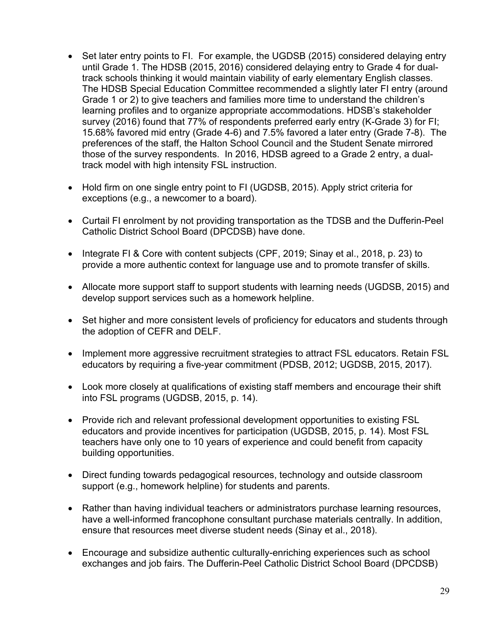- Set later entry points to FI. For example, the UGDSB (2015) considered delaying entry until Grade 1. The HDSB (2015, 2016) considered delaying entry to Grade 4 for dualtrack schools thinking it would maintain viability of early elementary English classes. The HDSB Special Education Committee recommended a slightly later FI entry (around Grade 1 or 2) to give teachers and families more time to understand the children's learning profiles and to organize appropriate accommodations. HDSB's stakeholder survey (2016) found that 77% of respondents preferred early entry (K-Grade 3) for FI; 15.68% favored mid entry (Grade 4-6) and 7.5% favored a later entry (Grade 7-8). The preferences of the staff, the Halton School Council and the Student Senate mirrored those of the survey respondents. In 2016, HDSB agreed to a Grade 2 entry, a dualtrack model with high intensity FSL instruction.
- Hold firm on one single entry point to FI (UGDSB, 2015). Apply strict criteria for exceptions (e.g., a newcomer to a board).
- Curtail FI enrolment by not providing transportation as the TDSB and the Dufferin-Peel Catholic District School Board (DPCDSB) have done.
- Integrate FI & Core with content subjects (CPF, 2019; Sinay et al., 2018, p. 23) to provide a more authentic context for language use and to promote transfer of skills.
- Allocate more support staff to support students with learning needs (UGDSB, 2015) and develop support services such as a homework helpline.
- Set higher and more consistent levels of proficiency for educators and students through the adoption of CEFR and DELF.
- Implement more aggressive recruitment strategies to attract FSL educators. Retain FSL educators by requiring a five-year commitment (PDSB, 2012; UGDSB, 2015, 2017).
- Look more closely at qualifications of existing staff members and encourage their shift into FSL programs (UGDSB, 2015, p. 14).
- Provide rich and relevant professional development opportunities to existing FSL educators and provide incentives for participation (UGDSB, 2015, p. 14). Most FSL teachers have only one to 10 years of experience and could benefit from capacity building opportunities.
- Direct funding towards pedagogical resources, technology and outside classroom support (e.g., homework helpline) for students and parents.
- Rather than having individual teachers or administrators purchase learning resources, have a well-informed francophone consultant purchase materials centrally. In addition, ensure that resources meet diverse student needs (Sinay et al., 2018).
- Encourage and subsidize authentic culturally-enriching experiences such as school exchanges and job fairs. The Dufferin-Peel Catholic District School Board (DPCDSB)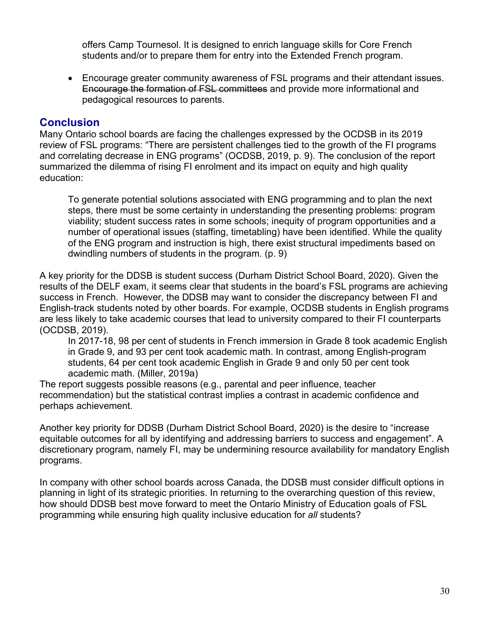offers Camp Tournesol. It is designed to enrich language skills for Core French students and/or to prepare them for entry into the Extended French program.

• Encourage greater community awareness of FSL programs and their attendant issues. Encourage the formation of FSL committees and provide more informational and pedagogical resources to parents.

# **Conclusion**

Many Ontario school boards are facing the challenges expressed by the OCDSB in its 2019 review of FSL programs: "There are persistent challenges tied to the growth of the FI programs and correlating decrease in ENG programs" (OCDSB, 2019, p. 9). The conclusion of the report summarized the dilemma of rising FI enrolment and its impact on equity and high quality education:

To generate potential solutions associated with ENG programming and to plan the next steps, there must be some certainty in understanding the presenting problems: program viability; student success rates in some schools; inequity of program opportunities and a number of operational issues (staffing, timetabling) have been identified. While the quality of the ENG program and instruction is high, there exist structural impediments based on dwindling numbers of students in the program. (p. 9)

A key priority for the DDSB is student success (Durham District School Board, 2020). Given the results of the DELF exam, it seems clear that students in the board's FSL programs are achieving success in French. However, the DDSB may want to consider the discrepancy between FI and English-track students noted by other boards. For example, OCDSB students in English programs are less likely to take academic courses that lead to university compared to their FI counterparts (OCDSB, 2019).

In 2017-18, 98 per cent of students in French immersion in Grade 8 took academic English in Grade 9, and 93 per cent took academic math. In contrast, among English-program students, 64 per cent took academic English in Grade 9 and only 50 per cent took academic math. (Miller, 2019a)

The report suggests possible reasons (e.g., parental and peer influence, teacher recommendation) but the statistical contrast implies a contrast in academic confidence and perhaps achievement.

Another key priority for DDSB (Durham District School Board, 2020) is the desire to "increase equitable outcomes for all by identifying and addressing barriers to success and engagement". A discretionary program, namely FI, may be undermining resource availability for mandatory English programs.

In company with other school boards across Canada, the DDSB must consider difficult options in planning in light of its strategic priorities. In returning to the overarching question of this review, how should DDSB best move forward to meet the Ontario Ministry of Education goals of FSL programming while ensuring high quality inclusive education for *all* students?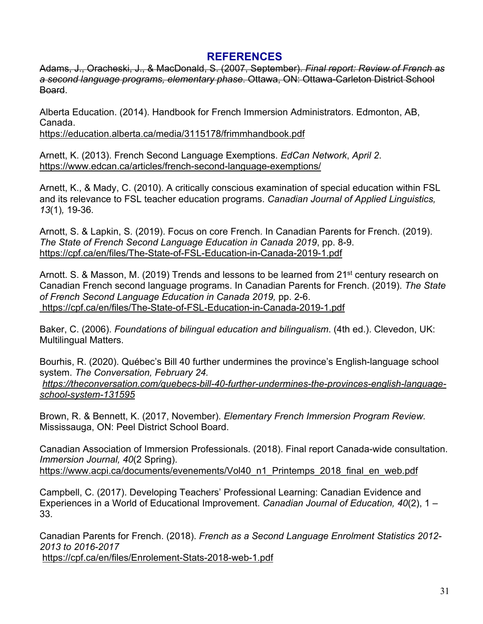# **REFERENCES**

Adams, J., Oracheski, J., & MacDonald, S. (2007, September). *Final report: Review of French as a second language programs, elementary phase*. Ottawa, ON: Ottawa-Carleton District School Board.

Alberta Education. (2014). Handbook for French Immersion Administrators. Edmonton, AB, Canada.

https://education.alberta.ca/media/3115178/frimmhandbook.pdf

Arnett, K. (2013). French Second Language Exemptions. *EdCan Network*, *April 2*. https://www.edcan.ca/articles/french-second-language-exemptions/

Arnett, K., & Mady, C. (2010). A critically conscious examination of special education within FSL and its relevance to FSL teacher education programs. *Canadian Journal of Applied Linguistics, 13*(1)*,* 19-36*.*

Arnott, S. & Lapkin, S. (2019). Focus on core French. In Canadian Parents for French. (2019). *The State of French Second Language Education in Canada 2019*, pp. 8-9. https://cpf.ca/en/files/The-State-of-FSL-Education-in-Canada-2019-1.pdf

Arnott. S. & Masson, M. (2019) Trends and lessons to be learned from 21<sup>st</sup> century research on Canadian French second language programs. In Canadian Parents for French. (2019). *The State of French Second Language Education in Canada 2019,* pp. 2-6. https://cpf.ca/en/files/The-State-of-FSL-Education-in-Canada-2019-1.pdf

Baker, C. (2006). *Foundations of bilingual education and bilingualism*. (4th ed.). Clevedon, UK: Multilingual Matters.

Bourhis, R. (2020). Québec's Bill 40 further undermines the province's English-language school system. *The Conversation, February 24.*

*https://theconversation.com/quebecs-bill-40-further-undermines-the-provinces-english-languageschool-system-131595*

Brown, R. & Bennett, K. (2017, November). *Elementary French Immersion Program Review.*  Mississauga, ON: Peel District School Board.

Canadian Association of Immersion Professionals. (2018). Final report Canada-wide consultation. *Immersion Journal, 40*(2 Spring). https://www.acpi.ca/documents/evenements/Vol40\_n1\_Printemps\_2018\_final\_en\_web.pdf

Campbell, C. (2017). Developing Teachers' Professional Learning: Canadian Evidence and Experiences in a World of Educational Improvement. *Canadian Journal of Education, 40*(2), 1 – 33.

Canadian Parents for French. (2018). *French as a Second Language Enrolment Statistics 2012- 2013 to 2016-2017* https://cpf.ca/en/files/Enrolement-Stats-2018-web-1.pdf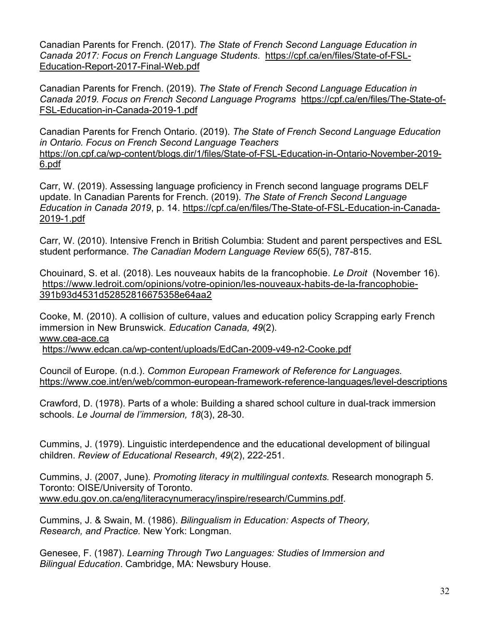Canadian Parents for French. (2017). *The State of French Second Language Education in Canada 2017: Focus on French Language Students*. https://cpf.ca/en/files/State-of-FSL-Education-Report-2017-Final-Web.pdf

Canadian Parents for French. (2019). *The State of French Second Language Education in Canada 2019. Focus on French Second Language Programs* https://cpf.ca/en/files/The-State-of-FSL-Education-in-Canada-2019-1.pdf

Canadian Parents for French Ontario. (2019). *The State of French Second Language Education in Ontario. Focus on French Second Language Teachers* https://on.cpf.ca/wp-content/blogs.dir/1/files/State-of-FSL-Education-in-Ontario-November-2019- 6.pdf

Carr, W. (2019). Assessing language proficiency in French second language programs DELF update. In Canadian Parents for French. (2019). *The State of French Second Language Education in Canada 2019*, p. 14. https://cpf.ca/en/files/The-State-of-FSL-Education-in-Canada-2019-1.pdf

Carr, W. (2010). Intensive French in British Columbia: Student and parent perspectives and ESL student performance. *The Canadian Modern Language Review 65*(5), 787-815.

Chouinard, S. et al. (2018). Les nouveaux habits de la francophobie. *Le Droit* (November 16). https://www.ledroit.com/opinions/votre-opinion/les-nouveaux-habits-de-la-francophobie-391b93d4531d52852816675358e64aa2

Cooke, M. (2010). A collision of culture, values and education policy Scrapping early French immersion in New Brunswick*. Education Canada, 49*(2). www.cea-ace.ca https://www.edcan.ca/wp-content/uploads/EdCan-2009-v49-n2-Cooke.pdf

Council of Europe. (n.d.). *Common European Framework of Reference for Languages.* https://www.coe.int/en/web/common-european-framework-reference-languages/level-descriptions

Crawford, D. (1978). Parts of a whole: Building a shared school culture in dual-track immersion schools. *Le Journal de l'immersion, 18*(3), 28-30.

Cummins, J. (1979). Linguistic interdependence and the educational development of bilingual children. *Review of Educational Research*, *49*(2), 222-251.

Cummins, J. (2007, June). *Promoting literacy in multilingual contexts.* Research monograph 5. Toronto: OISE/University of Toronto. www.edu.gov.on.ca/eng/literacynumeracy/inspire/research/Cummins.pdf.

Cummins, J. & Swain, M. (1986). *Bilingualism in Education: Aspects of Theory, Research, and Practice.* New York: Longman.

Genesee, F. (1987). *Learning Through Two Languages: Studies of Immersion and Bilingual Education*. Cambridge, MA: Newsbury House.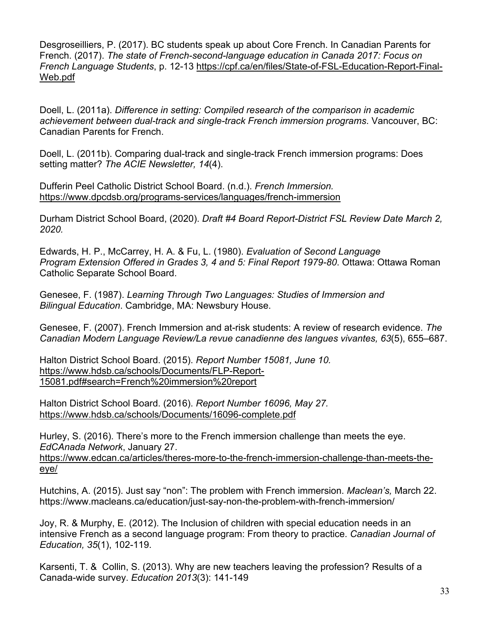Desgroseilliers, P. (2017). BC students speak up about Core French. In Canadian Parents for French. (2017). *The state of French-second-language education in Canada 2017: Focus on French Language Students*, p. 12-13 https://cpf.ca/en/files/State-of-FSL-Education-Report-Final-Web.pdf

Doell, L. (2011a). *Difference in setting: Compiled research of the comparison in academic achievement between dual-track and single-track French immersion programs*. Vancouver, BC: Canadian Parents for French.

Doell, L. (2011b). Comparing dual-track and single-track French immersion programs: Does setting matter? *The ACIE Newsletter, 14*(4).

Dufferin Peel Catholic District School Board. (n.d.). *French Immersion.* https://www.dpcdsb.org/programs-services/languages/french-immersion

Durham District School Board, (2020). *Draft #4 Board Report-District FSL Review Date March 2, 2020.*

Edwards, H. P., McCarrey, H. A. & Fu, L. (1980). *Evaluation of Second Language Program Extension Offered in Grades 3, 4 and 5: Final Report 1979-80*. Ottawa: Ottawa Roman Catholic Separate School Board.

Genesee, F. (1987). *Learning Through Two Languages: Studies of Immersion and Bilingual Education*. Cambridge, MA: Newsbury House.

Genesee, F. (2007). French Immersion and at-risk students: A review of research evidence. *The Canadian Modern Language Review/La revue canadienne des langues vivantes, 63*(5), 655–687.

Halton District School Board. (2015). *Report Number 15081, June 10.* https://www.hdsb.ca/schools/Documents/FLP-Report-15081.pdf#search=French%20immersion%20report

Halton District School Board. (2016). *Report Number 16096, May 27.* https://www.hdsb.ca/schools/Documents/16096-complete.pdf

Hurley, S. (2016). There's more to the French immersion challenge than meets the eye. *EdCAnada Network*, January 27.

https://www.edcan.ca/articles/theres-more-to-the-french-immersion-challenge-than-meets-theeye/

Hutchins, A. (2015). Just say "non": The problem with French immersion. *Maclean's,* March 22. https://www.macleans.ca/education/just-say-non-the-problem-with-french-immersion/

Joy, R. & Murphy, E. (2012). The Inclusion of children with special education needs in an intensive French as a second language program: From theory to practice. *Canadian Journal of Education, 35*(1), 102-119.

Karsenti, T. & Collin, S. (2013). Why are new teachers leaving the profession? Results of a Canada-wide survey. *Education 2013*(3): 141-149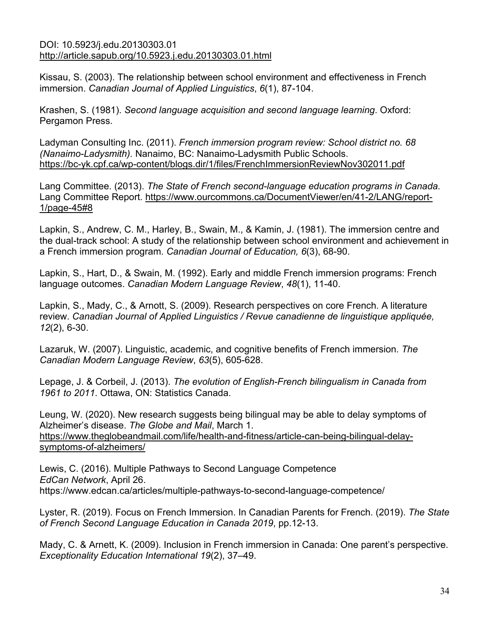#### DOI: 10.5923/j.edu.20130303.01 http://article.sapub.org/10.5923.j.edu.20130303.01.html

Kissau, S. (2003). The relationship between school environment and effectiveness in French immersion. *Canadian Journal of Applied Linguistics*, *6*(1), 87-104.

Krashen, S. (1981). *Second language acquisition and second language learning*. Oxford: Pergamon Press.

Ladyman Consulting Inc. (2011). *French immersion program review: School district no. 68 (Nanaimo-Ladysmith).* Nanaimo, BC: Nanaimo-Ladysmith Public Schools. https://bc-yk.cpf.ca/wp-content/blogs.dir/1/files/FrenchImmersionReviewNov302011.pdf

Lang Committee. (2013). *The State of French second-language education programs in Canada.*  Lang Committee Report. https://www.ourcommons.ca/DocumentViewer/en/41-2/LANG/report-1/page-45#8

Lapkin, S., Andrew, C. M., Harley, B., Swain, M., & Kamin, J. (1981). The immersion centre and the dual-track school: A study of the relationship between school environment and achievement in a French immersion program. *Canadian Journal of Education, 6*(3), 68-90.

Lapkin, S., Hart, D., & Swain, M. (1992). Early and middle French immersion programs: French language outcomes. *Canadian Modern Language Review*, *48*(1), 11-40.

Lapkin, S., Mady, C., & Arnott, S. (2009). Research perspectives on core French. A literature review. *Canadian Journal of Applied Linguistics / Revue canadienne de linguistique appliquée, 12*(2), 6-30.

Lazaruk, W. (2007). Linguistic, academic, and cognitive benefits of French immersion. *The Canadian Modern Language Review*, *63*(5), 605-628.

Lepage, J. & Corbeil, J. (2013). *The evolution of English-French bilingualism in Canada from 1961 to 2011*. Ottawa, ON: Statistics Canada.

Leung, W. (2020). New research suggests being bilingual may be able to delay symptoms of Alzheimer's disease. *The Globe and Mail*, March 1. https://www.theglobeandmail.com/life/health-and-fitness/article-can-being-bilingual-delaysymptoms-of-alzheimers/

Lewis, C. (2016). Multiple Pathways to Second Language Competence *EdCan Network*, April 26. https://www.edcan.ca/articles/multiple-pathways-to-second-language-competence/

Lyster, R. (2019). Focus on French Immersion. In Canadian Parents for French. (2019). *The State of French Second Language Education in Canada 2019*, pp.12-13.

Mady, C. & Arnett, K. (2009). Inclusion in French immersion in Canada: One parent's perspective. *Exceptionality Education International 19*(2), 37–49.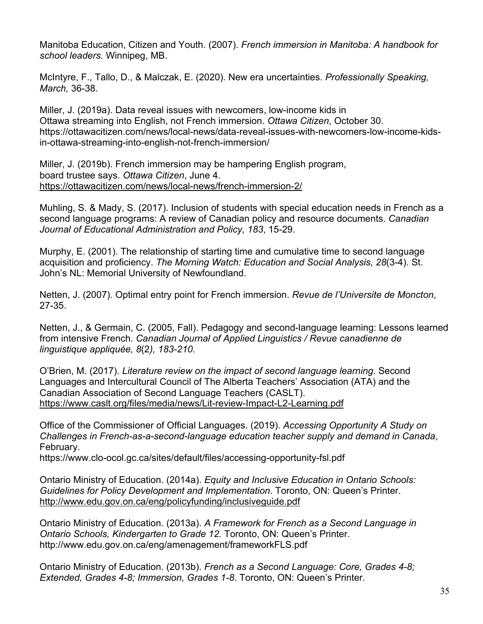Manitoba Education, Citizen and Youth. (2007). *French immersion in Manitoba: A handbook for school leaders.* Winnipeg, MB.

McIntyre, F., Tallo, D., & Malczak, E. (2020). New era uncertainties. *Professionally Speaking, March,* 36-38.

Miller, J. (2019a). Data reveal issues with newcomers, low-income kids in Ottawa streaming into English, not French immersion. *Ottawa Citizen*, October 30. https://ottawacitizen.com/news/local-news/data-reveal-issues-with-newcomers-low-income-kidsin-ottawa-streaming-into-english-not-french-immersion/

Miller, J. (2019b). French immersion may be hampering English program, board trustee says. *Ottawa Citizen*, June 4. https://ottawacitizen.com/news/local-news/french-immersion-2/

Muhling, S. & Mady, S. (2017). Inclusion of students with special education needs in French as a second language programs: A review of Canadian policy and resource documents. *Canadian Journal of Educational Administration and Policy, 183*, 15-29.

Murphy, E. (2001). The relationship of starting time and cumulative time to second language acquisition and proficiency. *The Morning Watch: Education and Social Analysis, 28*(3-4). St. John's NL: Memorial University of Newfoundland.

Netten, J. (2007). Optimal entry point for French immersion. *Revue de l'Universite de Moncton*, 27-35.

Netten, J., & Germain, C. (2005, Fall). Pedagogy and second-language learning: Lessons learned from intensive French. *Canadian Journal of Applied Linguistics / Revue canadienne de linguistique appliquée, 8*(2*), 183-210.*

O'Brien, M. (2017). *Literature review on the impact of second language learning*. Second Languages and Intercultural Council of The Alberta Teachers' Association (ATA) and the Canadian Association of Second Language Teachers (CASLT). https://www.caslt.org/files/media/news/Lit-review-Impact-L2-Learning.pdf

Office of the Commissioner of Official Languages. (2019). *Accessing Opportunity A Study on Challenges in French-as-a-second-language education teacher supply and demand in Canada*, February.

https://www.clo-ocol.gc.ca/sites/default/files/accessing-opportunity-fsl.pdf

Ontario Ministry of Education. (2014a). *Equity and Inclusive Education in Ontario Schools: Guidelines for Policy Development and Implementation*. Toronto, ON: Queen's Printer. http://www.edu.gov.on.ca/eng/policyfunding/inclusiveguide.pdf

Ontario Ministry of Education. (2013a). *A Framework for French as a Second Language in Ontario Schools, Kindergarten to Grade 12.* Toronto, ON: Queen's Printer. http://www.edu.gov.on.ca/eng/amenagement/frameworkFLS.pdf

Ontario Ministry of Education. (2013b). *French as a Second Language: Core, Grades 4-8; Extended, Grades 4-8; Immersion, Grades 1-8*. Toronto, ON: Queen's Printer.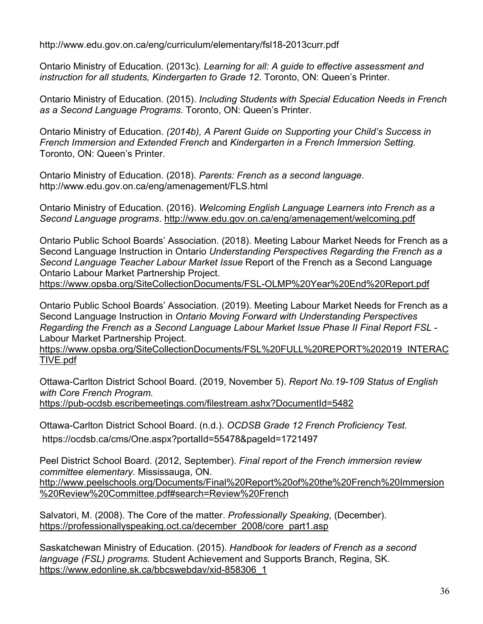http://www.edu.gov.on.ca/eng/curriculum/elementary/fsl18-2013curr.pdf

Ontario Ministry of Education. (2013c). *Learning for all: A guide to effective assessment and instruction for all students, Kindergarten to Grade 12*. Toronto, ON: Queen's Printer.

Ontario Ministry of Education. (2015). *Including Students with Special Education Needs in French as a Second Language Programs*. Toronto, ON: Queen's Printer.

Ontario Ministry of Education. *(2014b), A Parent Guide on Supporting your Child's Success in French Immersion and Extended French* and *Kindergarten in a French Immersion Setting.*  Toronto, ON: Queen's Printer.

Ontario Ministry of Education. (2018). *Parents: French as a second language*. http://www.edu.gov.on.ca/eng/amenagement/FLS.html

Ontario Ministry of Education. (2016). *Welcoming English Language Learners into French as a Second Language programs*. http://www.edu.gov.on.ca/eng/amenagement/welcoming.pdf

Ontario Public School Boards' Association. (2018). Meeting Labour Market Needs for French as a Second Language Instruction in Ontario *Understanding Perspectives Regarding the French as a Second Language Teacher Labour Market Issue* Report of the French as a Second Language Ontario Labour Market Partnership Project.

https://www.opsba.org/SiteCollectionDocuments/FSL-OLMP%20Year%20End%20Report.pdf

Ontario Public School Boards' Association. (2019). Meeting Labour Market Needs for French as a Second Language Instruction in *Ontario Moving Forward with Understanding Perspectives Regarding the French as a Second Language Labour Market Issue Phase II Final Report FSL* - Labour Market Partnership Project.

https://www.opsba.org/SiteCollectionDocuments/FSL%20FULL%20REPORT%202019\_INTERAC TIVE.pdf

Ottawa-Carlton District School Board. (2019, November 5). *Report No.19-109 Status of English with Core French Program.*  https://pub-ocdsb.escribemeetings.com/filestream.ashx?DocumentId=5482

Ottawa-Carlton District School Board. (n.d.). *OCDSB Grade 12 French Proficiency Test.* https://ocdsb.ca/cms/One.aspx?portalId=55478&pageId=1721497

Peel District School Board. (2012, September). *Final report of the French immersion review committee elementary.* Mississauga, ON. http://www.peelschools.org/Documents/Final%20Report%20of%20the%20French%20Immersion %20Review%20Committee.pdf#search=Review%20French

Salvatori, M. (2008). The Core of the matter. *Professionally Speaking*, (December). https://professionallyspeaking.oct.ca/december\_2008/core\_part1.asp

Saskatchewan Ministry of Education. (2015). *Handbook for leaders of French as a second language (FSL) programs.* Student Achievement and Supports Branch, Regina, SK. https://www.edonline.sk.ca/bbcswebdav/xid-858306\_1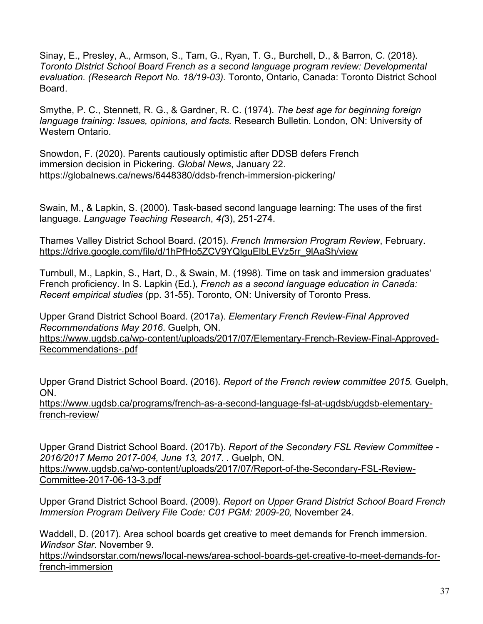Sinay, E., Presley, A., Armson, S., Tam, G., Ryan, T. G., Burchell, D., & Barron, C. (2018). *Toronto District School Board French as a second language program review: Developmental evaluation. (Research Report No. 18/19-03).* Toronto, Ontario, Canada: Toronto District School Board.

Smythe, P. C., Stennett, R. G., & Gardner, R. C. (1974). *The best age for beginning foreign language training: Issues, opinions, and facts.* Research Bulletin. London, ON: University of Western Ontario.

Snowdon, F. (2020). Parents cautiously optimistic after DDSB defers French immersion decision in Pickering. *Global News*, January 22. https://globalnews.ca/news/6448380/ddsb-french-immersion-pickering/

Swain, M., & Lapkin, S. (2000). Task-based second language learning: The uses of the first language. *Language Teaching Research*, *4(*3), 251-274.

Thames Valley District School Board. (2015). *French Immersion Program Review*, February. https://drive.google.com/file/d/1hPfHo5ZCV9YQlguElbLEVz5rr\_9lAaSh/view

Turnbull, M., Lapkin, S., Hart, D., & Swain, M. (1998). Time on task and immersion graduates' French proficiency. In S. Lapkin (Ed.), *French as a second language education in Canada: Recent empirical studies* (pp. 31-55). Toronto, ON: University of Toronto Press.

Upper Grand District School Board. (2017a). *Elementary French Review-Final Approved Recommendations May 2016*. Guelph, ON.

https://www.ugdsb.ca/wp-content/uploads/2017/07/Elementary-French-Review-Final-Approved-Recommendations-.pdf

Upper Grand District School Board. (2016). *Report of the French review committee 2015.* Guelph, ON.

https://www.ugdsb.ca/programs/french-as-a-second-language-fsl-at-ugdsb/ugdsb-elementaryfrench-review/

Upper Grand District School Board. (2017b). *Report of the Secondary FSL Review Committee - 2016/2017 Memo 2017-004, June 13, 2017*. *.* Guelph, ON. https://www.ugdsb.ca/wp-content/uploads/2017/07/Report-of-the-Secondary-FSL-Review-Committee-2017-06-13-3.pdf

Upper Grand District School Board. (2009). *Report on Upper Grand District School Board French Immersion Program Delivery File Code: C01 PGM: 2009-20,* November 24.

Waddell, D. (2017). Area school boards get creative to meet demands for French immersion. *Windsor Star.* November 9.

https://windsorstar.com/news/local-news/area-school-boards-get-creative-to-meet-demands-forfrench-immersion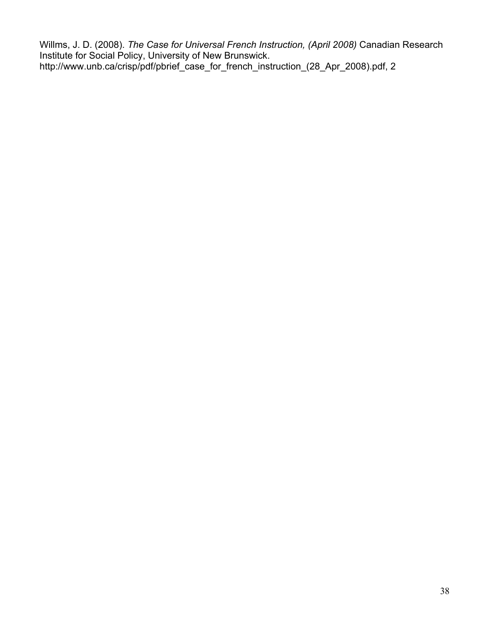Willms, J. D. (2008). *The Case for Universal French Instruction, (April 2008)* Canadian Research Institute for Social Policy, University of New Brunswick. http://www.unb.ca/crisp/pdf/pbrief\_case\_for\_french\_instruction\_(28\_Apr\_2008).pdf, 2